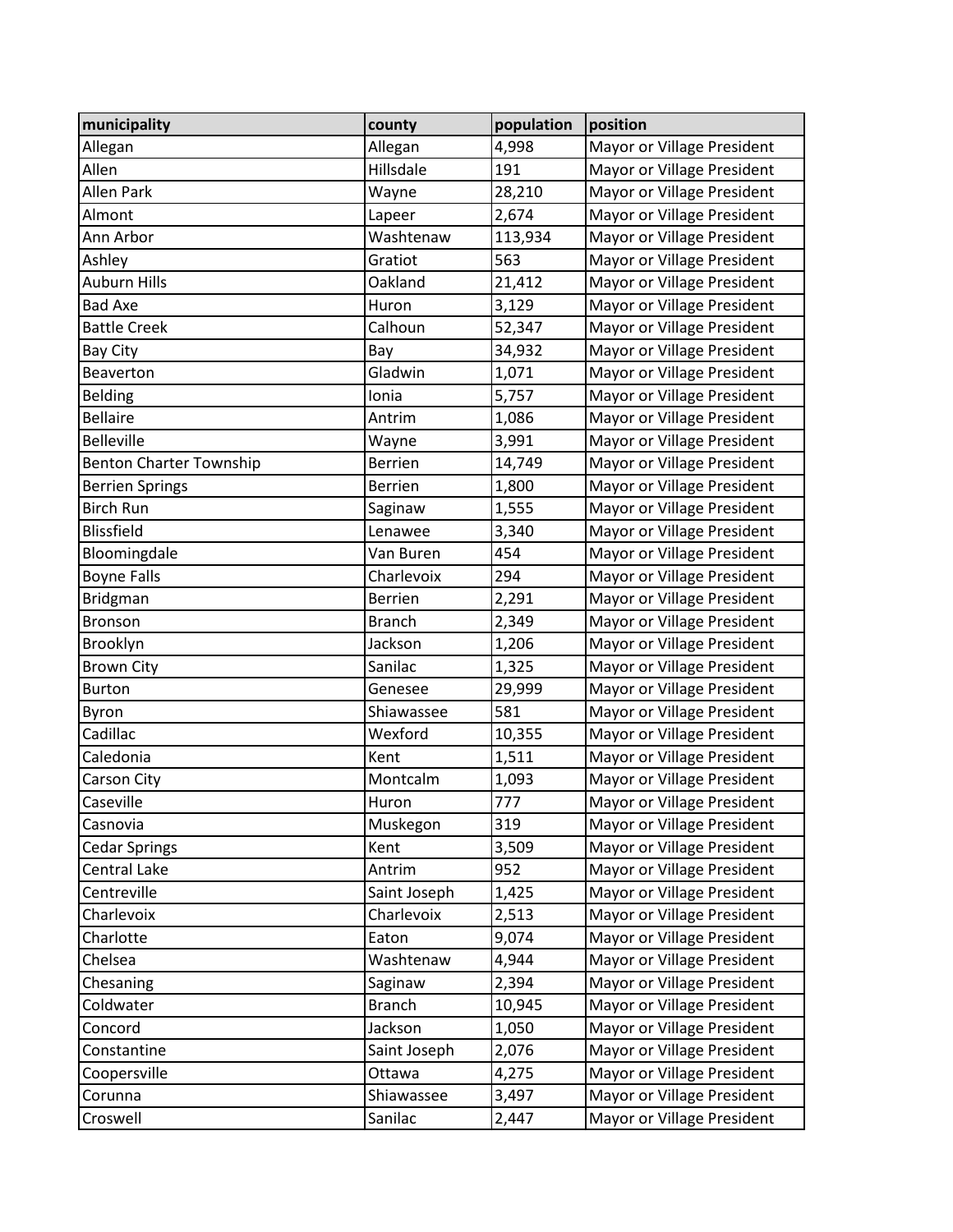| municipality                   | county            | population | position                   |
|--------------------------------|-------------------|------------|----------------------------|
| Allegan                        | Allegan           | 4,998      | Mayor or Village President |
| Allen                          | Hillsdale         | 191        | Mayor or Village President |
| Allen Park                     | Wayne             | 28,210     | Mayor or Village President |
| Almont                         | Lapeer            | 2,674      | Mayor or Village President |
| Ann Arbor                      | Washtenaw         | 113,934    | Mayor or Village President |
| Ashley                         | Gratiot           | 563        | Mayor or Village President |
| Auburn Hills                   | Oakland           | 21,412     | Mayor or Village President |
| <b>Bad Axe</b>                 | Huron             | 3,129      | Mayor or Village President |
| <b>Battle Creek</b>            | Calhoun           | 52,347     | Mayor or Village President |
| Bay City                       | Bay               | 34,932     | Mayor or Village President |
| Beaverton                      | Gladwin           | 1,071      | Mayor or Village President |
| <b>Belding</b>                 | Ionia             | 5,757      | Mayor or Village President |
| <b>Bellaire</b>                | Antrim            | 1,086      | Mayor or Village President |
| <b>Belleville</b>              | Wayne             | 3,991      | Mayor or Village President |
| <b>Benton Charter Township</b> | <b>Berrien</b>    | 14,749     | Mayor or Village President |
| <b>Berrien Springs</b>         | <b>Berrien</b>    | 1,800      | Mayor or Village President |
| <b>Birch Run</b>               | Saginaw           | 1,555      | Mayor or Village President |
| <b>Blissfield</b>              | Lenawee           | 3,340      | Mayor or Village President |
| Bloomingdale                   | Van Buren         | 454        | Mayor or Village President |
| <b>Boyne Falls</b>             | Charlevoix        | 294        | Mayor or Village President |
| <b>Bridgman</b>                | <b>Berrien</b>    | 2,291      | Mayor or Village President |
| Bronson                        | <b>Branch</b>     | 2,349      | Mayor or Village President |
| Brooklyn                       | Jackson           | 1,206      | Mayor or Village President |
| <b>Brown City</b>              | Sanilac           | 1,325      | Mayor or Village President |
| <b>Burton</b>                  | Genesee           | 29,999     | Mayor or Village President |
| Byron                          | 581<br>Shiawassee |            | Mayor or Village President |
| Cadillac                       | Wexford           | 10,355     | Mayor or Village President |
| Caledonia                      | Kent              | 1,511      | Mayor or Village President |
| Carson City                    | Montcalm          | 1,093      | Mayor or Village President |
| Caseville                      | Huron             | 777        | Mayor or Village President |
| Casnovia                       | Muskegon          | 319        | Mayor or Village President |
| <b>Cedar Springs</b>           | Kent              | 3,509      | Mayor or Village President |
| Central Lake                   | Antrim            | 952        | Mayor or Village President |
| Centreville                    | Saint Joseph      | 1,425      | Mayor or Village President |
| Charlevoix                     | Charlevoix        | 2,513      | Mayor or Village President |
| Charlotte                      | Eaton             | 9,074      | Mayor or Village President |
| Chelsea                        | Washtenaw         | 4,944      | Mayor or Village President |
| Chesaning                      | Saginaw           | 2,394      | Mayor or Village President |
| Coldwater                      | <b>Branch</b>     | 10,945     | Mayor or Village President |
| Concord                        | Jackson           | 1,050      | Mayor or Village President |
| Constantine                    | Saint Joseph      | 2,076      | Mayor or Village President |
| Coopersville                   | Ottawa            | 4,275      | Mayor or Village President |
| Corunna                        | Shiawassee        | 3,497      | Mayor or Village President |
| Croswell                       | Sanilac           | 2,447      | Mayor or Village President |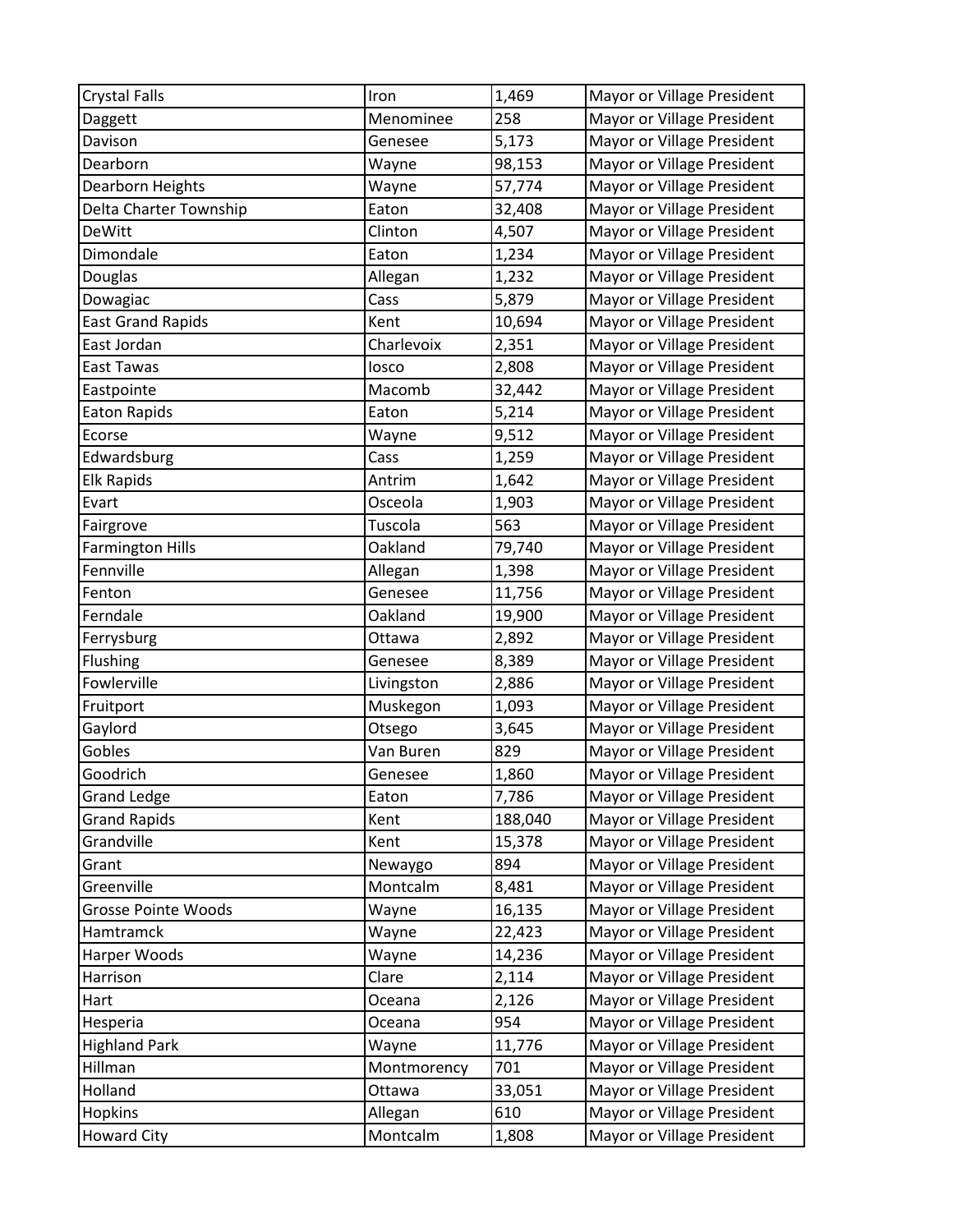| <b>Crystal Falls</b>     | Iron        | 1,469   | Mayor or Village President |
|--------------------------|-------------|---------|----------------------------|
| Daggett                  | Menominee   | 258     | Mayor or Village President |
| Davison                  | Genesee     | 5,173   | Mayor or Village President |
| Dearborn                 | Wayne       | 98,153  | Mayor or Village President |
| Dearborn Heights         | Wayne       | 57,774  | Mayor or Village President |
| Delta Charter Township   | Eaton       | 32,408  | Mayor or Village President |
| <b>DeWitt</b>            | Clinton     | 4,507   | Mayor or Village President |
| Dimondale                | Eaton       | 1,234   | Mayor or Village President |
| Douglas                  | Allegan     | 1,232   | Mayor or Village President |
| Dowagiac                 | Cass        | 5,879   | Mayor or Village President |
| <b>East Grand Rapids</b> | Kent        | 10,694  | Mayor or Village President |
| East Jordan              | Charlevoix  | 2,351   | Mayor or Village President |
| East Tawas               | losco       | 2,808   | Mayor or Village President |
| Eastpointe               | Macomb      | 32,442  | Mayor or Village President |
| <b>Eaton Rapids</b>      | Eaton       | 5,214   | Mayor or Village President |
| Ecorse                   | Wayne       | 9,512   | Mayor or Village President |
| Edwardsburg              | Cass        | 1,259   | Mayor or Village President |
| <b>Elk Rapids</b>        | Antrim      | 1,642   | Mayor or Village President |
| Evart                    | Osceola     | 1,903   | Mayor or Village President |
| Fairgrove                | Tuscola     | 563     | Mayor or Village President |
| <b>Farmington Hills</b>  | Oakland     | 79,740  | Mayor or Village President |
| Fennville                | Allegan     | 1,398   | Mayor or Village President |
| Fenton                   | Genesee     | 11,756  | Mayor or Village President |
| Ferndale                 | Oakland     | 19,900  | Mayor or Village President |
| Ferrysburg               | Ottawa      | 2,892   | Mayor or Village President |
| Flushing                 | Genesee     | 8,389   | Mayor or Village President |
| Fowlerville              | Livingston  | 2,886   | Mayor or Village President |
| Fruitport                | Muskegon    | 1,093   | Mayor or Village President |
| Gaylord                  | Otsego      | 3,645   | Mayor or Village President |
| Gobles                   | Van Buren   | 829     | Mayor or Village President |
| Goodrich                 | Genesee     | 1,860   | Mayor or Village President |
| <b>Grand Ledge</b>       | Eaton       | 7,786   | Mayor or Village President |
| <b>Grand Rapids</b>      | Kent        | 188,040 | Mayor or Village President |
| Grandville               | Kent        | 15,378  | Mayor or Village President |
| Grant                    | Newaygo     | 894     | Mayor or Village President |
| Greenville               | Montcalm    | 8,481   | Mayor or Village President |
| Grosse Pointe Woods      | Wayne       | 16,135  | Mayor or Village President |
| Hamtramck                | Wayne       | 22,423  | Mayor or Village President |
| Harper Woods             | Wayne       | 14,236  | Mayor or Village President |
| Harrison                 | Clare       | 2,114   | Mayor or Village President |
| Hart                     | Oceana      | 2,126   | Mayor or Village President |
| Hesperia                 | Oceana      | 954     | Mayor or Village President |
| <b>Highland Park</b>     | Wayne       | 11,776  | Mayor or Village President |
| Hillman                  | Montmorency | 701     | Mayor or Village President |
| Holland                  | Ottawa      | 33,051  | Mayor or Village President |
| Hopkins                  | Allegan     | 610     | Mayor or Village President |
| <b>Howard City</b>       | Montcalm    | 1,808   | Mayor or Village President |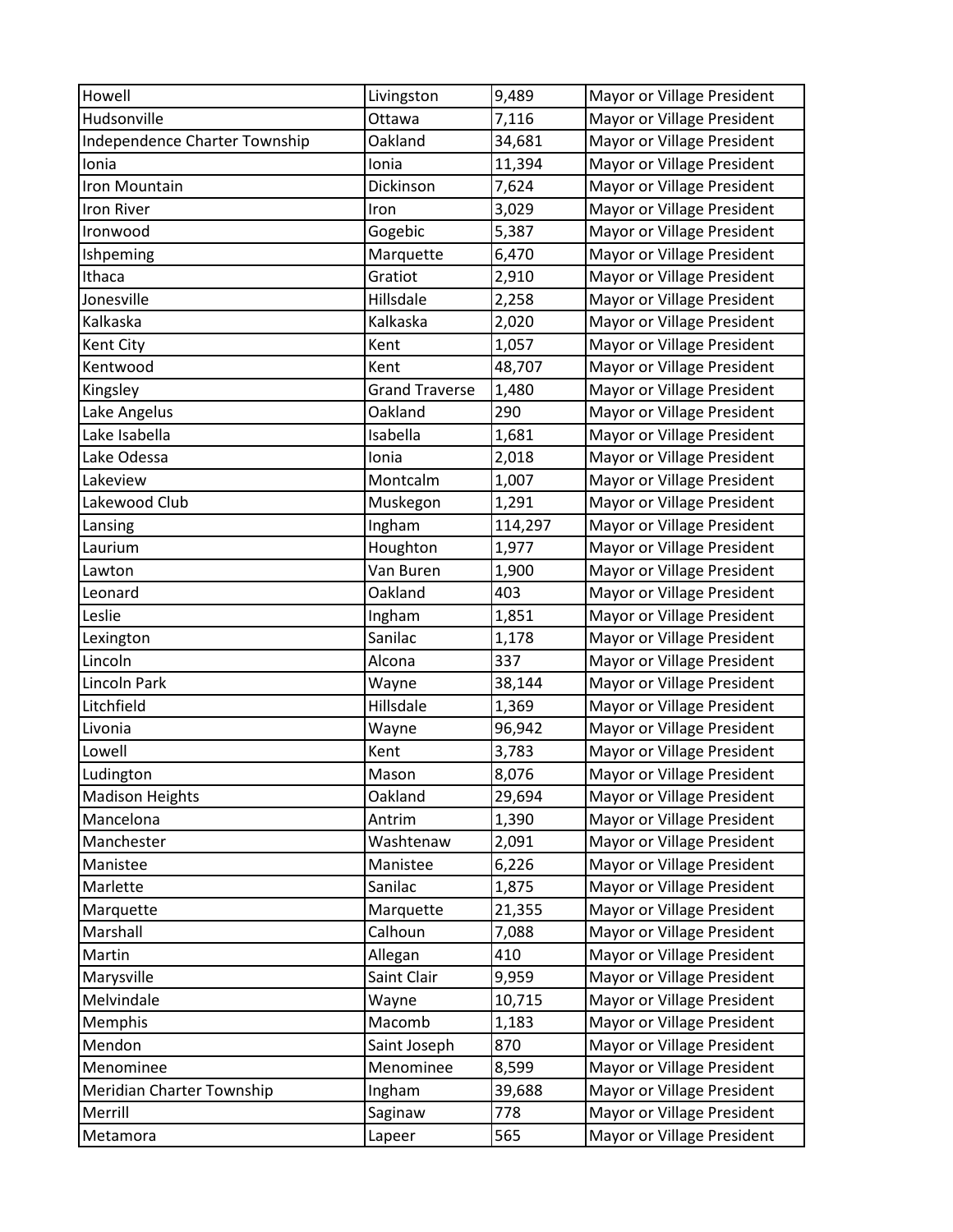| Howell                        | Livingston            | 9,489   | Mayor or Village President |
|-------------------------------|-----------------------|---------|----------------------------|
| Hudsonville                   | Ottawa                | 7,116   | Mayor or Village President |
| Independence Charter Township | Oakland               | 34,681  | Mayor or Village President |
| Ionia                         | Ionia                 | 11,394  | Mayor or Village President |
| Iron Mountain                 | Dickinson             | 7,624   | Mayor or Village President |
| <b>Iron River</b>             | Iron                  | 3,029   | Mayor or Village President |
| Ironwood                      | Gogebic               | 5,387   | Mayor or Village President |
| Ishpeming                     | Marquette             | 6,470   | Mayor or Village President |
| Ithaca                        | Gratiot               | 2,910   | Mayor or Village President |
| Jonesville                    | Hillsdale             | 2,258   | Mayor or Village President |
| Kalkaska                      | Kalkaska              | 2,020   | Mayor or Village President |
| Kent City                     | Kent                  | 1,057   | Mayor or Village President |
| Kentwood                      | Kent                  | 48,707  | Mayor or Village President |
| Kingsley                      | <b>Grand Traverse</b> | 1,480   | Mayor or Village President |
| Lake Angelus                  | Oakland               | 290     | Mayor or Village President |
| Lake Isabella                 | Isabella              | 1,681   | Mayor or Village President |
| Lake Odessa                   | Ionia                 | 2,018   | Mayor or Village President |
| Lakeview                      | Montcalm              | 1,007   | Mayor or Village President |
| Lakewood Club                 | Muskegon              | 1,291   | Mayor or Village President |
| Lansing                       | Ingham                | 114,297 | Mayor or Village President |
| Laurium                       | Houghton              | 1,977   | Mayor or Village President |
| Lawton                        | Van Buren             | 1,900   | Mayor or Village President |
| Leonard                       | Oakland               | 403     | Mayor or Village President |
| Leslie                        | Ingham                | 1,851   | Mayor or Village President |
| Lexington                     | Sanilac               | 1,178   | Mayor or Village President |
| Lincoln                       | Alcona                | 337     | Mayor or Village President |
| Lincoln Park                  | Wayne                 | 38,144  | Mayor or Village President |
| Litchfield                    | Hillsdale             | 1,369   | Mayor or Village President |
| Livonia                       | Wayne                 | 96,942  | Mayor or Village President |
| Lowell                        | Kent                  | 3,783   | Mayor or Village President |
| Ludington                     | Mason                 | 8,076   | Mayor or Village President |
| <b>Madison Heights</b>        | Oakland               | 29,694  | Mayor or Village President |
| Mancelona                     | Antrim                | 1,390   | Mayor or Village President |
| Manchester                    | Washtenaw             | 2,091   | Mayor or Village President |
| Manistee                      | Manistee              | 6,226   | Mayor or Village President |
| Marlette                      | Sanilac               | 1,875   | Mayor or Village President |
| Marquette                     | Marquette             | 21,355  | Mayor or Village President |
| Marshall                      | Calhoun               | 7,088   | Mayor or Village President |
| Martin                        | Allegan               | 410     | Mayor or Village President |
| Marysville                    | Saint Clair           | 9,959   | Mayor or Village President |
| Melvindale                    | Wayne                 | 10,715  | Mayor or Village President |
| Memphis                       | Macomb                | 1,183   | Mayor or Village President |
| Mendon                        | Saint Joseph          | 870     | Mayor or Village President |
| Menominee                     | Menominee             | 8,599   | Mayor or Village President |
| Meridian Charter Township     | Ingham                | 39,688  | Mayor or Village President |
| Merrill                       | Saginaw               | 778     | Mayor or Village President |
| Metamora                      | Lapeer                | 565     | Mayor or Village President |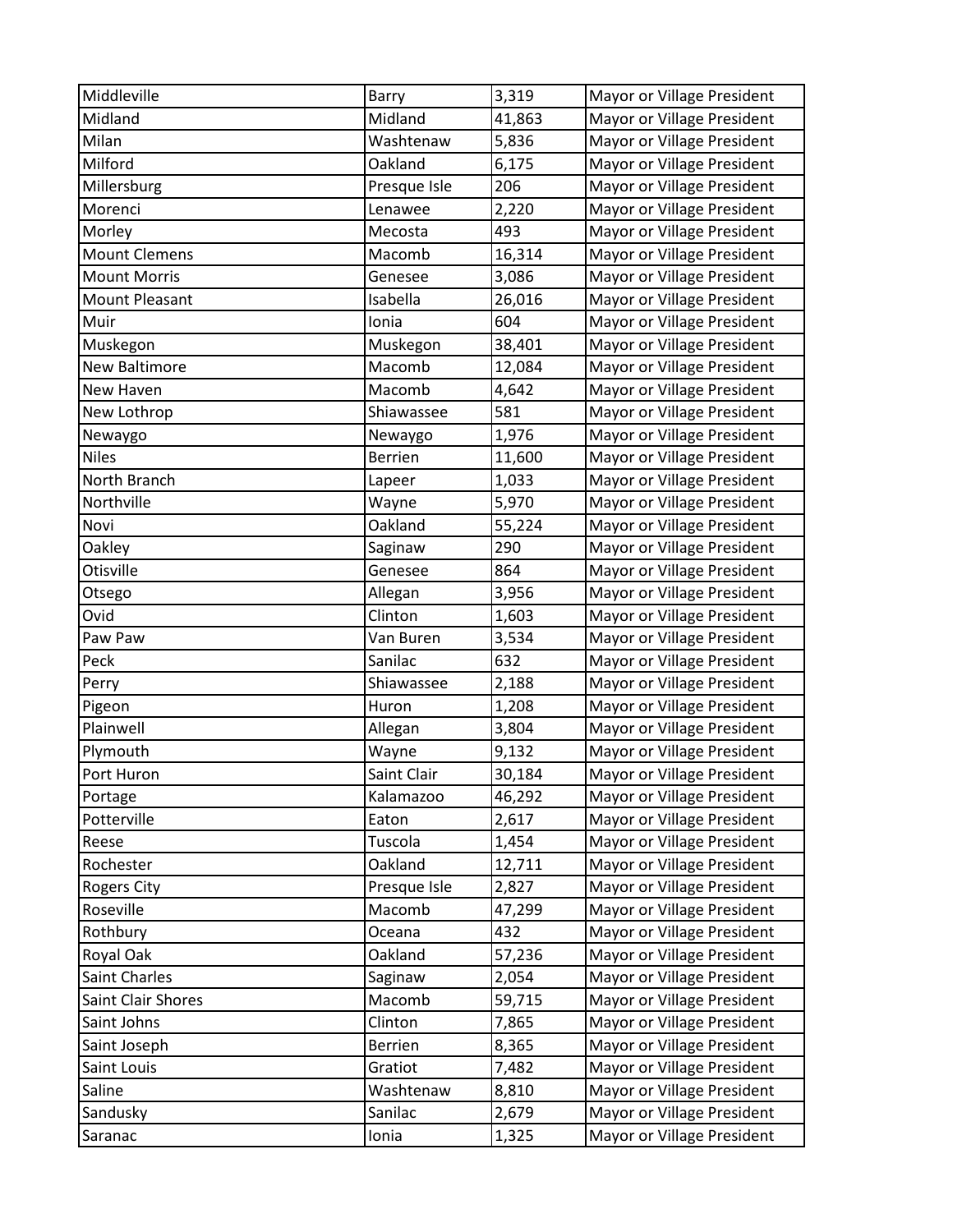| Middleville          | Barry          | 3,319  | Mayor or Village President |
|----------------------|----------------|--------|----------------------------|
| Midland              | Midland        | 41,863 | Mayor or Village President |
| Milan                | Washtenaw      | 5,836  | Mayor or Village President |
| Milford              | Oakland        | 6,175  | Mayor or Village President |
| Millersburg          | Presque Isle   | 206    | Mayor or Village President |
| Morenci              | Lenawee        | 2,220  | Mayor or Village President |
| Morley               | Mecosta        | 493    | Mayor or Village President |
| <b>Mount Clemens</b> | Macomb         | 16,314 | Mayor or Village President |
| <b>Mount Morris</b>  | Genesee        | 3,086  | Mayor or Village President |
| Mount Pleasant       | Isabella       | 26,016 | Mayor or Village President |
| Muir                 | Ionia          | 604    | Mayor or Village President |
| Muskegon             | Muskegon       | 38,401 | Mayor or Village President |
| New Baltimore        | Macomb         | 12,084 | Mayor or Village President |
| New Haven            | Macomb         | 4,642  | Mayor or Village President |
| New Lothrop          | Shiawassee     | 581    | Mayor or Village President |
| Newaygo              | Newaygo        | 1,976  | Mayor or Village President |
| <b>Niles</b>         | <b>Berrien</b> | 11,600 | Mayor or Village President |
| North Branch         | Lapeer         | 1,033  | Mayor or Village President |
| Northville           | Wayne          | 5,970  | Mayor or Village President |
| Novi                 | Oakland        | 55,224 | Mayor or Village President |
| Oakley               | Saginaw        | 290    | Mayor or Village President |
| Otisville            | Genesee        | 864    | Mayor or Village President |
| Otsego               | Allegan        | 3,956  | Mayor or Village President |
| Ovid                 | Clinton        | 1,603  | Mayor or Village President |
| Paw Paw              | Van Buren      | 3,534  | Mayor or Village President |
| Peck                 | Sanilac        | 632    | Mayor or Village President |
| Perry                | Shiawassee     | 2,188  | Mayor or Village President |
| Pigeon               | Huron          | 1,208  | Mayor or Village President |
| Plainwell            | Allegan        | 3,804  | Mayor or Village President |
| Plymouth             | Wayne          | 9,132  | Mayor or Village President |
| Port Huron           | Saint Clair    | 30,184 | Mayor or Village President |
| Portage              | Kalamazoo      | 46,292 | Mayor or Village President |
| Potterville          | Eaton          | 2,617  | Mayor or Village President |
| Reese                | Tuscola        | 1,454  | Mayor or Village President |
| Rochester            | Oakland        | 12,711 | Mayor or Village President |
| <b>Rogers City</b>   | Presque Isle   | 2,827  | Mayor or Village President |
| Roseville            | Macomb         | 47,299 | Mayor or Village President |
| Rothbury             | Oceana         | 432    | Mayor or Village President |
| Royal Oak            | Oakland        | 57,236 | Mayor or Village President |
| Saint Charles        | Saginaw        | 2,054  | Mayor or Village President |
| Saint Clair Shores   | Macomb         | 59,715 | Mayor or Village President |
| Saint Johns          | Clinton        | 7,865  | Mayor or Village President |
| Saint Joseph         | <b>Berrien</b> | 8,365  | Mayor or Village President |
| Saint Louis          | Gratiot        | 7,482  | Mayor or Village President |
| Saline               | Washtenaw      | 8,810  | Mayor or Village President |
| Sandusky             | Sanilac        | 2,679  | Mayor or Village President |
| Saranac              | Ionia          | 1,325  | Mayor or Village President |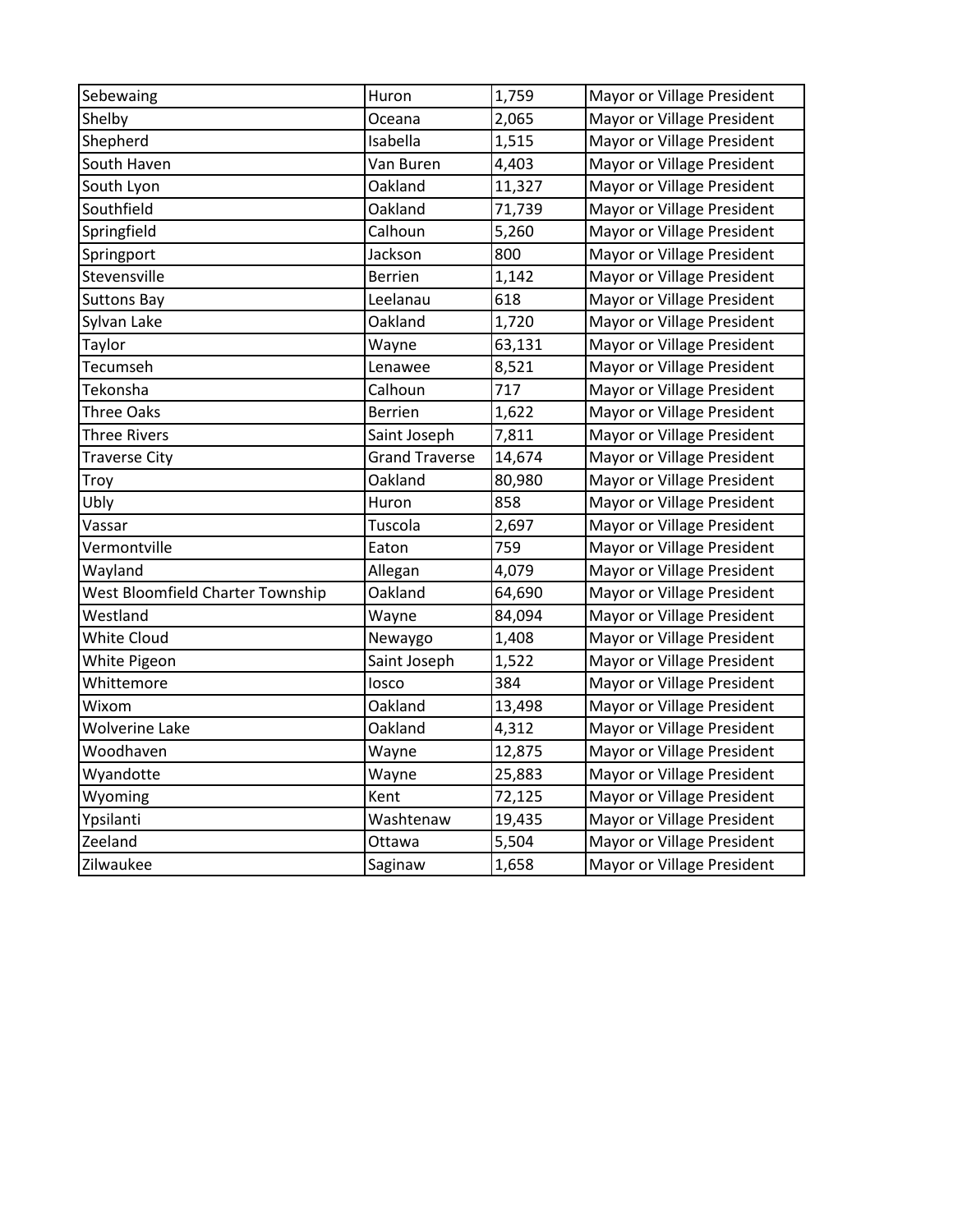| Sebewaing                        | Huron                 | 1,759  | Mayor or Village President |
|----------------------------------|-----------------------|--------|----------------------------|
| Shelby                           | Oceana                | 2,065  | Mayor or Village President |
| Shepherd                         | Isabella              | 1,515  | Mayor or Village President |
| South Haven                      | Van Buren             | 4,403  | Mayor or Village President |
| South Lyon                       | Oakland               | 11,327 | Mayor or Village President |
| Southfield                       | Oakland               | 71,739 | Mayor or Village President |
| Springfield                      | Calhoun               | 5,260  | Mayor or Village President |
| Springport                       | Jackson               | 800    | Mayor or Village President |
| Stevensville                     | <b>Berrien</b>        | 1,142  | Mayor or Village President |
| <b>Suttons Bay</b>               | Leelanau              | 618    | Mayor or Village President |
| Sylvan Lake                      | Oakland               | 1,720  | Mayor or Village President |
| Taylor                           | Wayne                 | 63,131 | Mayor or Village President |
| Tecumseh                         | Lenawee               | 8,521  | Mayor or Village President |
| Tekonsha                         | Calhoun               | 717    | Mayor or Village President |
| Three Oaks                       | <b>Berrien</b>        | 1,622  | Mayor or Village President |
| <b>Three Rivers</b>              | Saint Joseph          | 7,811  | Mayor or Village President |
| <b>Traverse City</b>             | <b>Grand Traverse</b> | 14,674 | Mayor or Village President |
| Troy                             | Oakland               | 80,980 | Mayor or Village President |
| Ubly                             | Huron                 | 858    | Mayor or Village President |
| Vassar                           | Tuscola               | 2,697  | Mayor or Village President |
| Vermontville                     | Eaton                 | 759    | Mayor or Village President |
| Wayland                          | Allegan               | 4,079  | Mayor or Village President |
| West Bloomfield Charter Township | Oakland               | 64,690 | Mayor or Village President |
| Westland                         | Wayne                 | 84,094 | Mayor or Village President |
| <b>White Cloud</b>               | Newaygo               | 1,408  | Mayor or Village President |
| White Pigeon                     | Saint Joseph          | 1,522  | Mayor or Village President |
| Whittemore                       | losco                 | 384    | Mayor or Village President |
| Wixom                            | Oakland               | 13,498 | Mayor or Village President |
| <b>Wolverine Lake</b>            | Oakland               | 4,312  | Mayor or Village President |
| Woodhaven                        | Wayne                 | 12,875 | Mayor or Village President |
| Wyandotte                        | Wayne                 | 25,883 | Mayor or Village President |
| Wyoming                          | Kent                  | 72,125 | Mayor or Village President |
| Ypsilanti                        | Washtenaw             | 19,435 | Mayor or Village President |
| Zeeland                          | Ottawa                | 5,504  | Mayor or Village President |
| Zilwaukee                        | Saginaw               | 1,658  | Mayor or Village President |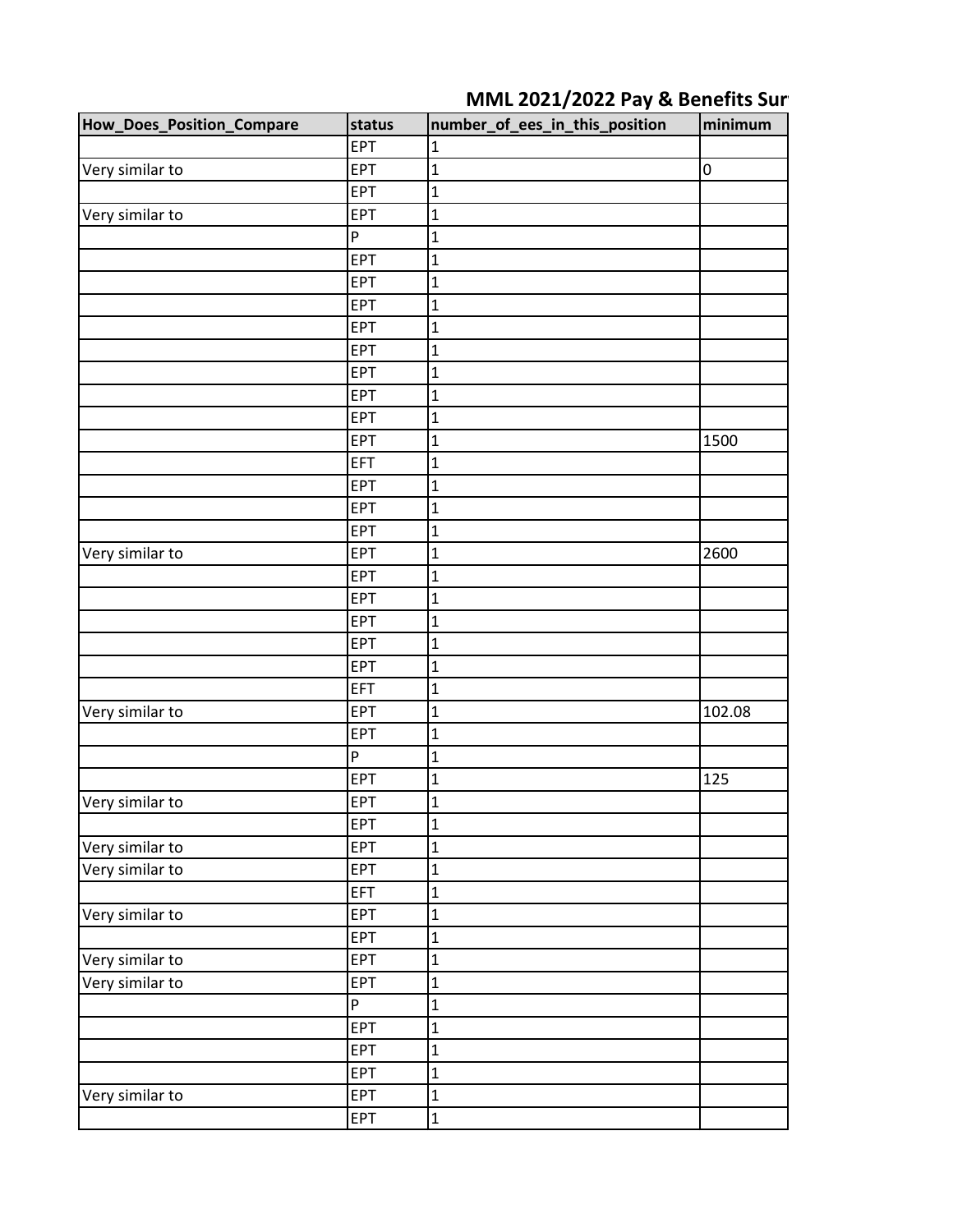## **MML 2021/2022 Pay & Benefits Surger**

| <b>How_Does_Position_Compare</b> | status     | number_of_ees_in_this_position | minimum   |
|----------------------------------|------------|--------------------------------|-----------|
|                                  | <b>EPT</b> | 1                              |           |
| Very similar to                  | <b>EPT</b> | $\mathbf{1}$                   | $\pmb{0}$ |
|                                  | <b>EPT</b> | $\mathbf 1$                    |           |
| Very similar to                  | <b>EPT</b> | $\mathbf 1$                    |           |
|                                  | P          | $\mathbf 1$                    |           |
|                                  | EPT        | $\mathbf 1$                    |           |
|                                  | <b>EPT</b> | $\mathbf{1}$                   |           |
|                                  | EPT        | $\mathbf 1$                    |           |
|                                  | <b>EPT</b> | $\mathbf 1$                    |           |
|                                  | <b>EPT</b> | $\mathbf{1}$                   |           |
|                                  | EPT        | $\mathbf 1$                    |           |
|                                  | <b>EPT</b> | $\mathbf 1$                    |           |
|                                  | <b>EPT</b> | $\mathbf 1$                    |           |
|                                  | <b>EPT</b> | $\mathbf{1}$                   | 1500      |
|                                  | EFT        | $\mathbf 1$                    |           |
|                                  | <b>EPT</b> | $\mathbf{1}$                   |           |
|                                  | <b>EPT</b> | $\mathbf 1$                    |           |
|                                  | <b>EPT</b> | $\mathbf 1$                    |           |
| Very similar to                  | <b>EPT</b> | $\mathbf 1$                    | 2600      |
|                                  | <b>EPT</b> | $\mathbf{1}$                   |           |
|                                  | EPT        | $\mathbf 1$                    |           |
|                                  | <b>EPT</b> | $\mathbf 1$                    |           |
|                                  | <b>EPT</b> | $\mathbf{1}$                   |           |
|                                  | <b>EPT</b> | $\mathbf{1}$                   |           |
|                                  | EFT        | $\mathbf 1$                    |           |
| Very similar to                  | <b>EPT</b> | $\mathbf 1$                    | 102.08    |
|                                  | EPT        | $\mathbf 1$                    |           |
|                                  | P          | $\mathbf{1}$                   |           |
|                                  | <b>EPT</b> | $\mathbf 1$                    | 125       |
| Very similar to                  | <b>EPT</b> | $\overline{1}$                 |           |
|                                  | EPT        | $\mathbf 1$                    |           |
| Very similar to                  | EPT        | $\mathbf{1}$                   |           |
| Very similar to                  | EPT        | $\mathbf{1}$                   |           |
|                                  | EFT        | $\mathbf 1$                    |           |
| Very similar to                  | EPT        | $\mathbf{1}$                   |           |
|                                  | <b>EPT</b> | $\mathbf 1$                    |           |
| Very similar to                  | EPT        | $\mathbf 1$                    |           |
| Very similar to                  | <b>EPT</b> | $\mathbf{1}$                   |           |
|                                  | P          | $\mathbf{1}$                   |           |
|                                  | EPT        | $\mathbf 1$                    |           |
|                                  | EPT        | $\mathbf{1}$                   |           |
|                                  | EPT        | $\mathbf 1$                    |           |
| Very similar to                  | EPT        | $\mathbf{1}$                   |           |
|                                  | EPT        | $\mathbf{1}$                   |           |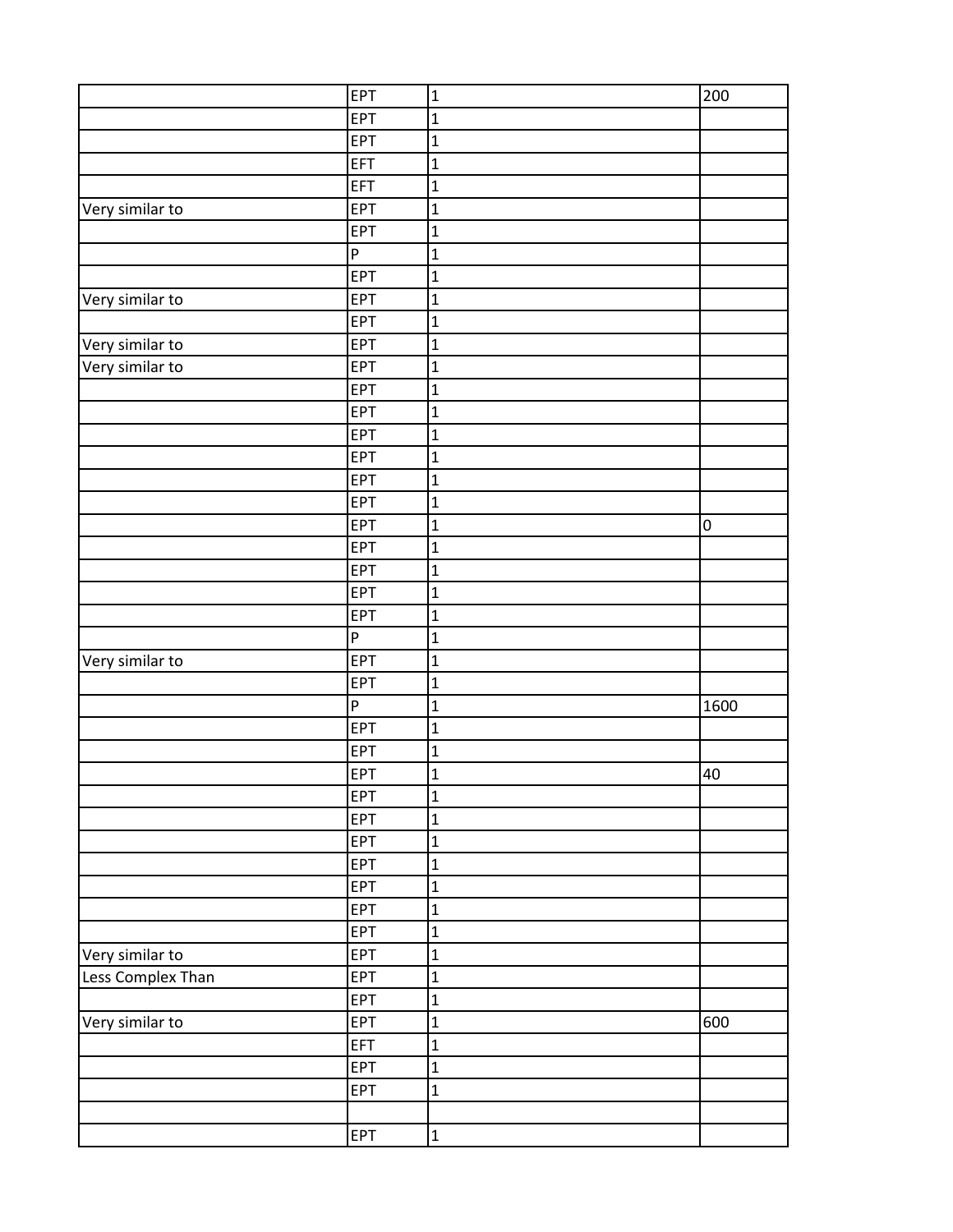|                   | EPT          | $\mathbf 1$    | 200       |
|-------------------|--------------|----------------|-----------|
|                   | <b>EPT</b>   | $\mathbf{1}$   |           |
|                   | EPT          | $\mathbf{1}$   |           |
|                   | EFT          | $\mathbf{1}$   |           |
|                   | EFT          | $\mathbf 1$    |           |
| Very similar to   | EPT          | $\mathbf 1$    |           |
|                   | EPT          | $\mathbf{1}$   |           |
|                   | $\mathsf{P}$ | $\mathbf 1$    |           |
|                   | EPT          | $\mathbf{1}$   |           |
| Very similar to   | EPT          | $\mathbf{1}$   |           |
|                   | <b>EPT</b>   | $\mathbf{1}$   |           |
| Very similar to   | EPT          | $\mathbf{1}$   |           |
| Very similar to   | EPT          | $\mathbf 1$    |           |
|                   | <b>EPT</b>   | $\mathbf{1}$   |           |
|                   | EPT          | $\mathbf{1}$   |           |
|                   | EPT          | $\mathbf 1$    |           |
|                   | EPT          | $\mathbf 1$    |           |
|                   | EPT          | $\mathbf 1$    |           |
|                   | EPT          | $\mathbf{1}$   |           |
|                   | EPT          | $\mathbf 1$    | $\pmb{0}$ |
|                   | EPT          | $\mathbf{1}$   |           |
|                   | EPT          | $\mathbf{1}$   |           |
|                   | EPT          | $\mathbf{1}$   |           |
|                   | EPT          | $\mathbf 1$    |           |
|                   | ${\sf P}$    | $\mathbf 1$    |           |
| Very similar to   | EPT          | $\mathbf{1}$   |           |
|                   | EPT          | $\mathbf 1$    |           |
|                   | $\mathsf{P}$ | $\mathbf{1}$   | 1600      |
|                   | EPT          | $\mathbf{1}$   |           |
|                   | EPT          | $\mathbf 1$    |           |
|                   | EPT          | $\overline{1}$ | 40        |
|                   | EPT          | $\mathbf 1$    |           |
|                   | EPT          | $\mathbf{1}$   |           |
|                   | EPT          | $\mathbf{1}$   |           |
|                   | EPT          | $\mathbf{1}$   |           |
|                   | EPT          | $\mathbf 1$    |           |
|                   | EPT          | $\mathbf 1$    |           |
|                   | EPT          | $\mathbf{1}$   |           |
| Very similar to   | EPT          | $\mathbf 1$    |           |
| Less Complex Than | EPT          | $\mathbf 1$    |           |
|                   | EPT          | $\mathbf{1}$   |           |
| Very similar to   | <b>EPT</b>   | $\mathbf{1}$   | 600       |
|                   | EFT          | $\mathbf{1}$   |           |
|                   | EPT          | $\mathbf 1$    |           |
|                   | <b>EPT</b>   | $\mathbf{1}$   |           |
|                   |              |                |           |
|                   | <b>EPT</b>   | $\mathbf{1}$   |           |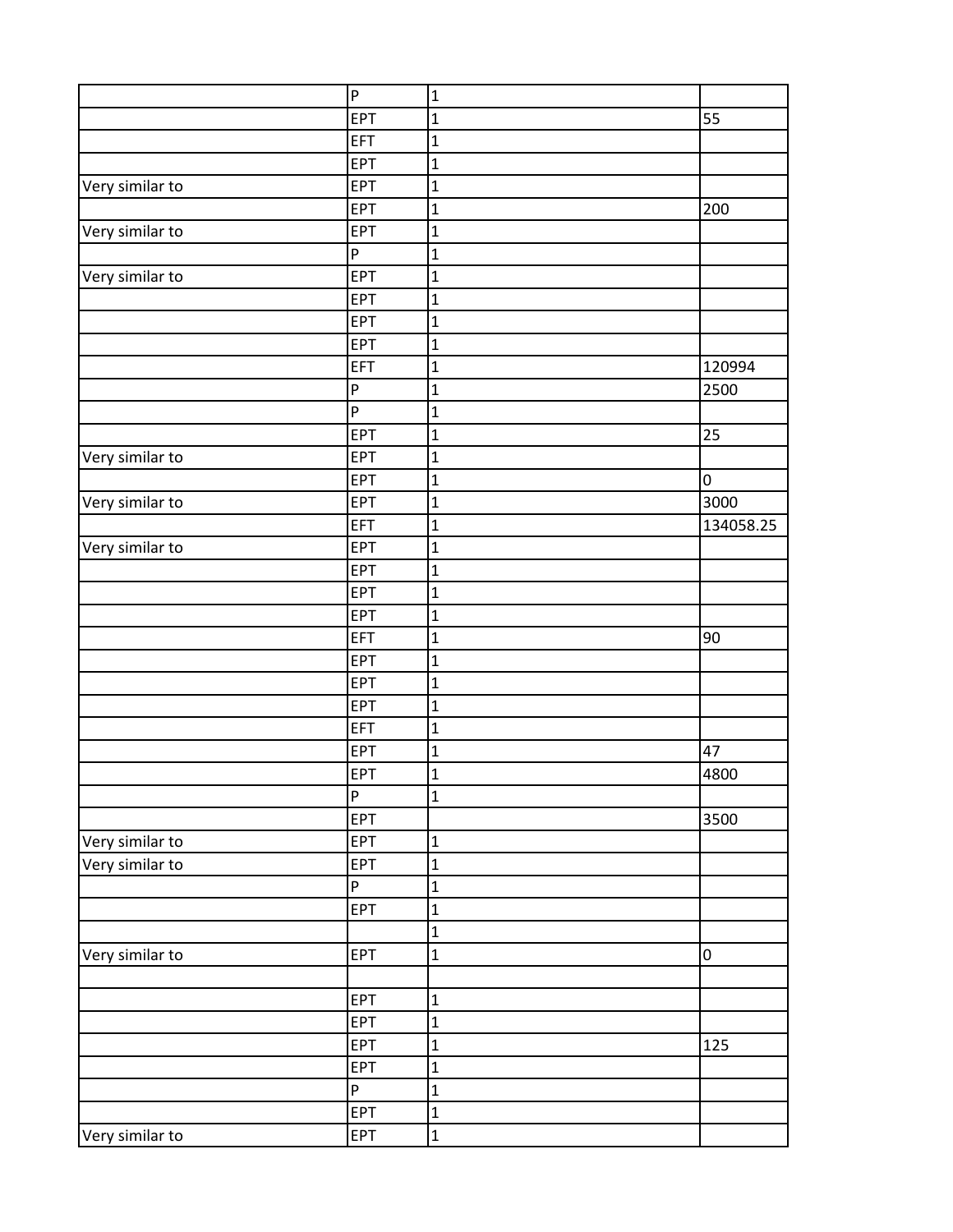|                 | $\overline{P}$            | $\mathbf 1$    |           |
|-----------------|---------------------------|----------------|-----------|
|                 | EPT                       | $\mathbf{1}$   | 55        |
|                 | <b>EFT</b>                | $\mathbf{1}$   |           |
|                 | <b>EPT</b>                | $\mathbf{1}$   |           |
| Very similar to | <b>EPT</b>                | $\mathbf{1}$   |           |
|                 | <b>EPT</b>                | $\mathbf 1$    | 200       |
| Very similar to | EPT                       | $\mathbf 1$    |           |
|                 | $\boldsymbol{\mathsf{P}}$ | $\overline{1}$ |           |
| Very similar to | EPT                       | $\mathbf{1}$   |           |
|                 | EPT                       | $\mathbf{1}$   |           |
|                 | <b>EPT</b>                | $\mathbf{1}$   |           |
|                 | <b>EPT</b>                | $\mathbf 1$    |           |
|                 | EFT                       | $\mathbf 1$    | 120994    |
|                 | $\boldsymbol{\mathsf{P}}$ | $\mathbf 1$    | 2500      |
|                 | $\boldsymbol{\mathsf{P}}$ | $\mathbf{1}$   |           |
|                 | EPT                       | $\mathbf{1}$   | 25        |
| Very similar to | <b>EPT</b>                | $\mathbf{1}$   |           |
|                 | <b>EPT</b>                | $\mathbf 1$    | 0         |
| Very similar to | EPT                       | $\mathbf{1}$   | 3000      |
|                 | EFT                       | $\mathbf 1$    | 134058.25 |
| Very similar to | <b>EPT</b>                | $\mathbf 1$    |           |
|                 | <b>EPT</b>                | $\mathbf{1}$   |           |
|                 | <b>EPT</b>                | $\mathbf{1}$   |           |
|                 | <b>EPT</b>                | $\mathbf 1$    |           |
|                 | EFT                       | $\mathbf 1$    | 90        |
|                 | EPT                       | $\mathbf{1}$   |           |
|                 | EPT                       | $\mathbf{1}$   |           |
|                 | <b>EPT</b>                | $\mathbf{1}$   |           |
|                 | EFT                       | $\mathbf{1}$   |           |
|                 | <b>EPT</b>                | $\mathbf{1}$   | 47        |
|                 | EPT                       | $\mathbf{1}$   | 4800      |
|                 | $\boldsymbol{\mathsf{P}}$ | $\mathbf 1$    |           |
|                 | <b>EPT</b>                |                | 3500      |
| Very similar to | EPT                       | $\mathbf{1}$   |           |
| Very similar to | <b>EPT</b>                | $\mathbf{1}$   |           |
|                 | $\boldsymbol{\mathsf{P}}$ | $\mathbf{1}$   |           |
|                 | EPT                       | $\mathbf 1$    |           |
|                 |                           | $\overline{1}$ |           |
| Very similar to | EPT                       | $\mathbf 1$    | 0         |
|                 |                           |                |           |
|                 | <b>EPT</b>                | $\mathbf 1$    |           |
|                 | EPT                       | $\mathbf 1$    |           |
|                 | EPT                       | $\mathbf 1$    | 125       |
|                 | EPT                       | $\mathbf{1}$   |           |
|                 | $\boldsymbol{\mathsf{P}}$ | $\mathbf{1}$   |           |
|                 | <b>EPT</b>                | $\mathbf{1}$   |           |
| Very similar to | EPT                       | $\mathbf 1$    |           |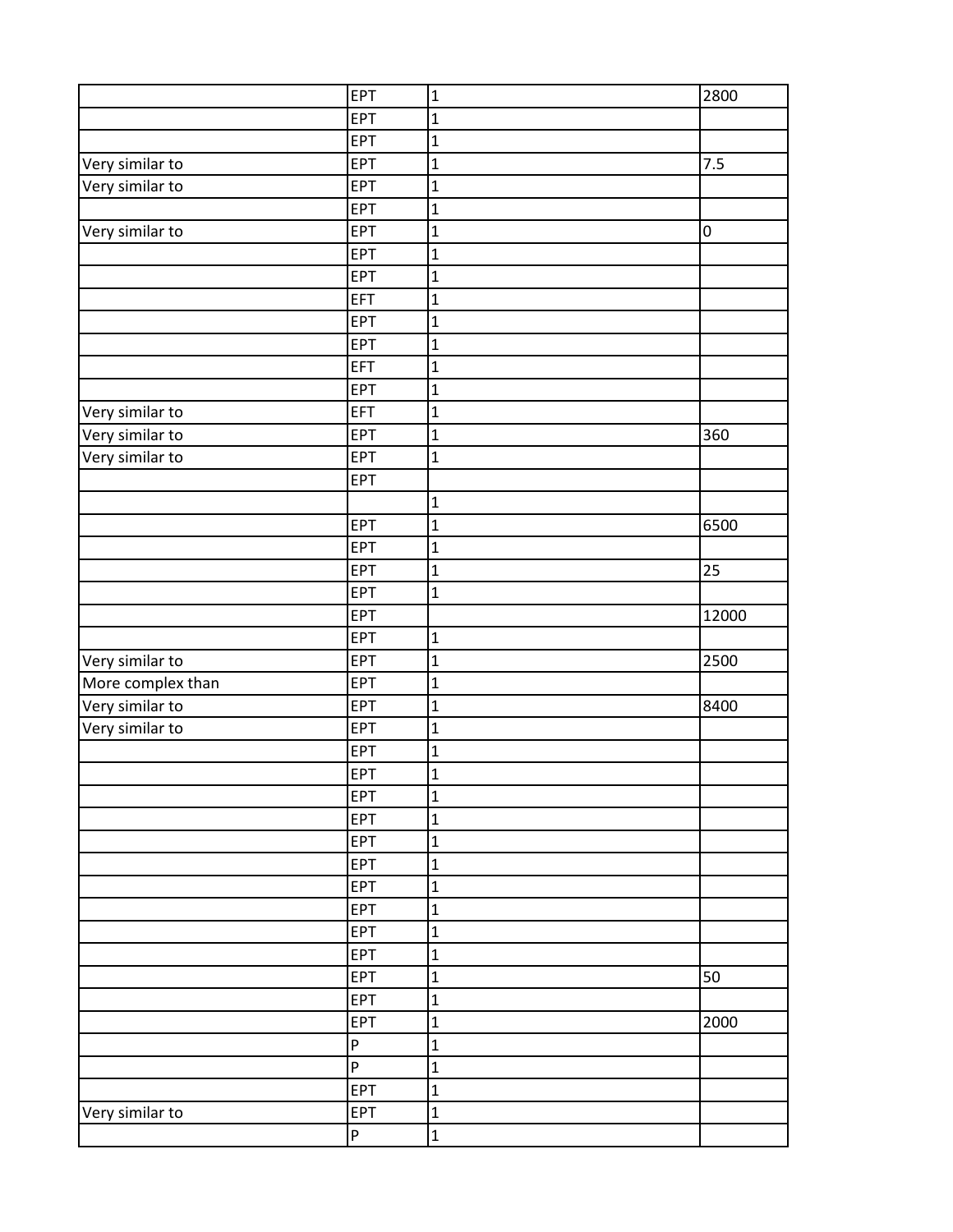|                   | <b>EPT</b>                | $\mathbf 1$    | 2800  |
|-------------------|---------------------------|----------------|-------|
|                   | EPT                       | $\mathbf 1$    |       |
|                   | EPT                       | $\mathbf{1}$   |       |
| Very similar to   | <b>EPT</b>                | $\mathbf{1}$   | 7.5   |
| Very similar to   | <b>EPT</b>                | $\mathbf{1}$   |       |
|                   | <b>EPT</b>                | $\mathbf 1$    |       |
| Very similar to   | EPT                       | $\mathbf 1$    | 0     |
|                   | EPT                       | $\overline{1}$ |       |
|                   | <b>EPT</b>                | $\mathbf 1$    |       |
|                   | EFT                       | $\mathbf{1}$   |       |
|                   | <b>EPT</b>                | $\mathbf{1}$   |       |
|                   | EPT                       | $\mathbf 1$    |       |
|                   | EFT                       | $\mathbf 1$    |       |
|                   | <b>EPT</b>                | $\mathbf 1$    |       |
| Very similar to   | EFT                       | $\mathbf{1}$   |       |
| Very similar to   | EPT                       | $\mathbf{1}$   | 360   |
| Very similar to   | EPT                       | $\mathbf{1}$   |       |
|                   | <b>EPT</b>                |                |       |
|                   |                           | $\mathbf{1}$   |       |
|                   | <b>EPT</b>                | $\mathbf{1}$   | 6500  |
|                   | <b>EPT</b>                | $\mathbf 1$    |       |
|                   | EPT                       | $\mathbf{1}$   | 25    |
|                   | <b>EPT</b>                | $\mathbf{1}$   |       |
|                   | <b>EPT</b>                |                | 12000 |
|                   | <b>EPT</b>                | $\mathbf 1$    |       |
| Very similar to   | EPT                       | $\mathbf 1$    | 2500  |
| More complex than | <b>EPT</b>                | $\mathbf{1}$   |       |
| Very similar to   | <b>EPT</b>                | $\mathbf{1}$   | 8400  |
| Very similar to   | EPT                       | $\mathbf{1}$   |       |
|                   | <b>EPT</b>                | $\mathbf{1}$   |       |
|                   | <b>EPT</b>                | $\mathbf{1}$   |       |
|                   | <b>EPT</b>                | $\mathbf 1$    |       |
|                   | EPT                       | $\mathbf{1}$   |       |
|                   | <b>EPT</b>                | $\mathbf{1}$   |       |
|                   | <b>EPT</b>                | $\mathbf 1$    |       |
|                   | <b>EPT</b>                | $\mathbf 1$    |       |
|                   | <b>EPT</b>                | $\mathbf 1$    |       |
|                   | EPT                       | $\mathbf{1}$   |       |
|                   | <b>EPT</b>                | $\mathbf{1}$   |       |
|                   | <b>EPT</b>                | $\mathbf 1$    | 50    |
|                   | <b>EPT</b>                | $\mathbf{1}$   |       |
|                   | <b>EPT</b>                | $\mathbf{1}$   | 2000  |
|                   | $\boldsymbol{\mathsf{P}}$ | $\mathbf 1$    |       |
|                   | $\boldsymbol{\mathsf{P}}$ | $\mathbf 1$    |       |
|                   | <b>EPT</b>                | $\mathbf 1$    |       |
| Very similar to   | EPT                       | $\mathbf{1}$   |       |
|                   | $\boldsymbol{\mathsf{P}}$ | $\mathbf 1$    |       |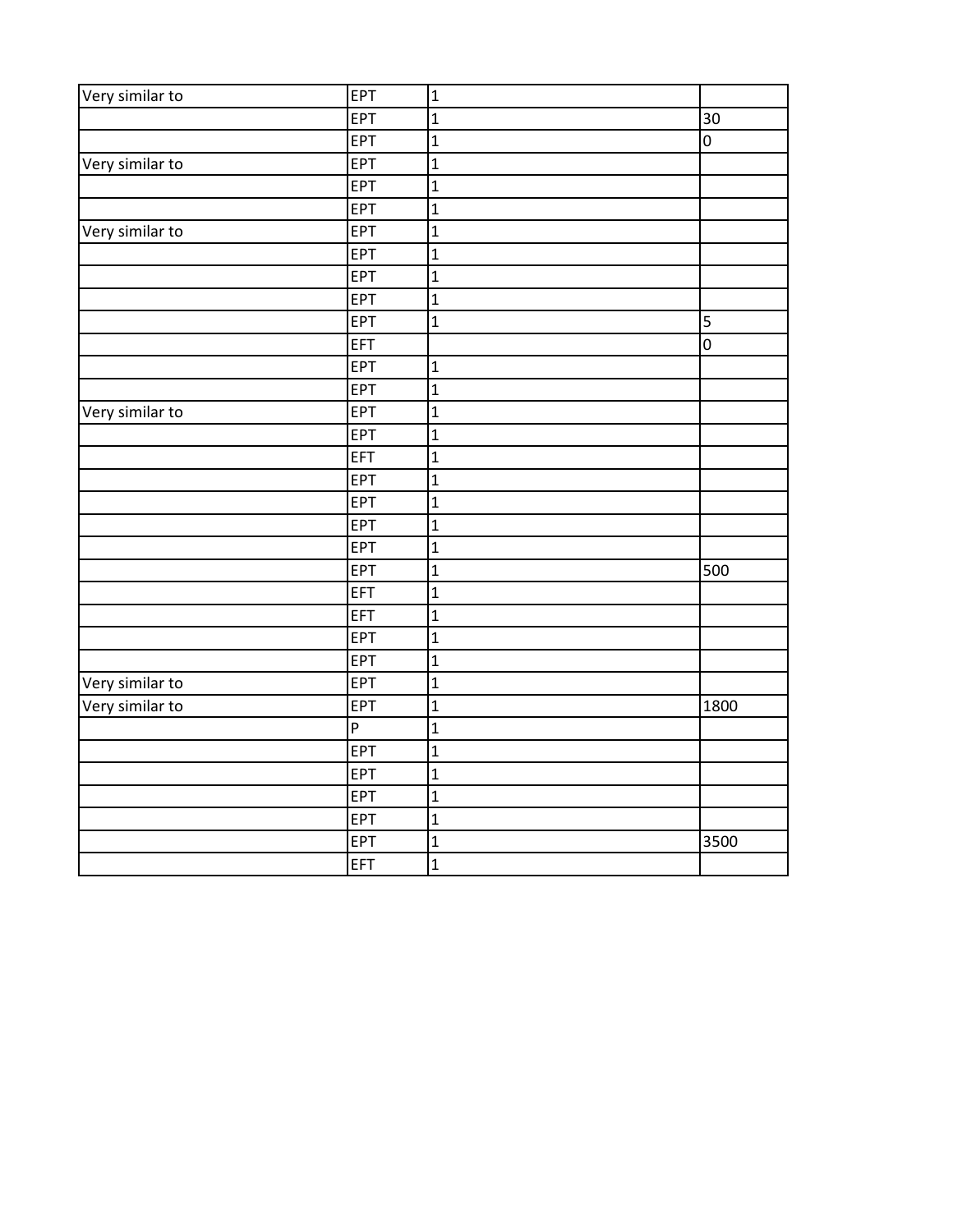| Very similar to | EPT | $\mathbf{1}$   |                     |
|-----------------|-----|----------------|---------------------|
|                 | EPT | $\mathbf{1}$   | 30                  |
|                 | EPT | $\mathbf{1}$   | $\mathsf 0$         |
| Very similar to | EPT | $\mathbf{1}$   |                     |
|                 | EPT | $\overline{1}$ |                     |
|                 | EPT | $\mathbf{1}$   |                     |
| Very similar to | EPT | $\mathbf{1}$   |                     |
|                 | EPT | $\overline{1}$ |                     |
|                 | EPT | $\mathbf{1}$   |                     |
|                 | EPT | $\mathbf{1}$   |                     |
|                 | EPT | $\mathbf{1}$   | 5                   |
|                 | EFT |                | $\mathsf{O}\xspace$ |
|                 | EPT | $\mathbf{1}$   |                     |
|                 | EPT | $\overline{1}$ |                     |
| Very similar to | EPT | $\mathbf{1}$   |                     |
|                 | EPT | $\mathbf{1}$   |                     |
|                 | EFT | $\mathbf{1}$   |                     |
|                 | EPT | $\overline{1}$ |                     |
|                 | EPT | $\mathbf{1}$   |                     |
|                 | EPT | $\overline{1}$ |                     |
|                 | EPT | $\mathbf{1}$   |                     |
|                 | EPT | $\mathbf{1}$   | 500                 |
|                 | EFT | $\mathbf 1$    |                     |
|                 | EFT | $\mathbf{1}$   |                     |
|                 | EPT | $\mathbf{1}$   |                     |
|                 | EPT | $\overline{1}$ |                     |
| Very similar to | EPT | $\overline{1}$ |                     |
| Very similar to | EPT | $\overline{1}$ | 1800                |
|                 | P   | $\mathbf{1}$   |                     |
|                 | EPT | $\mathbf{1}$   |                     |
|                 | EPT | $\mathbf{1}$   |                     |
|                 | EPT | $\mathbf{1}$   |                     |
|                 | EPT | $\overline{1}$ |                     |
|                 | EPT | $\mathbf 1$    | 3500                |
|                 | EFT | $\overline{1}$ |                     |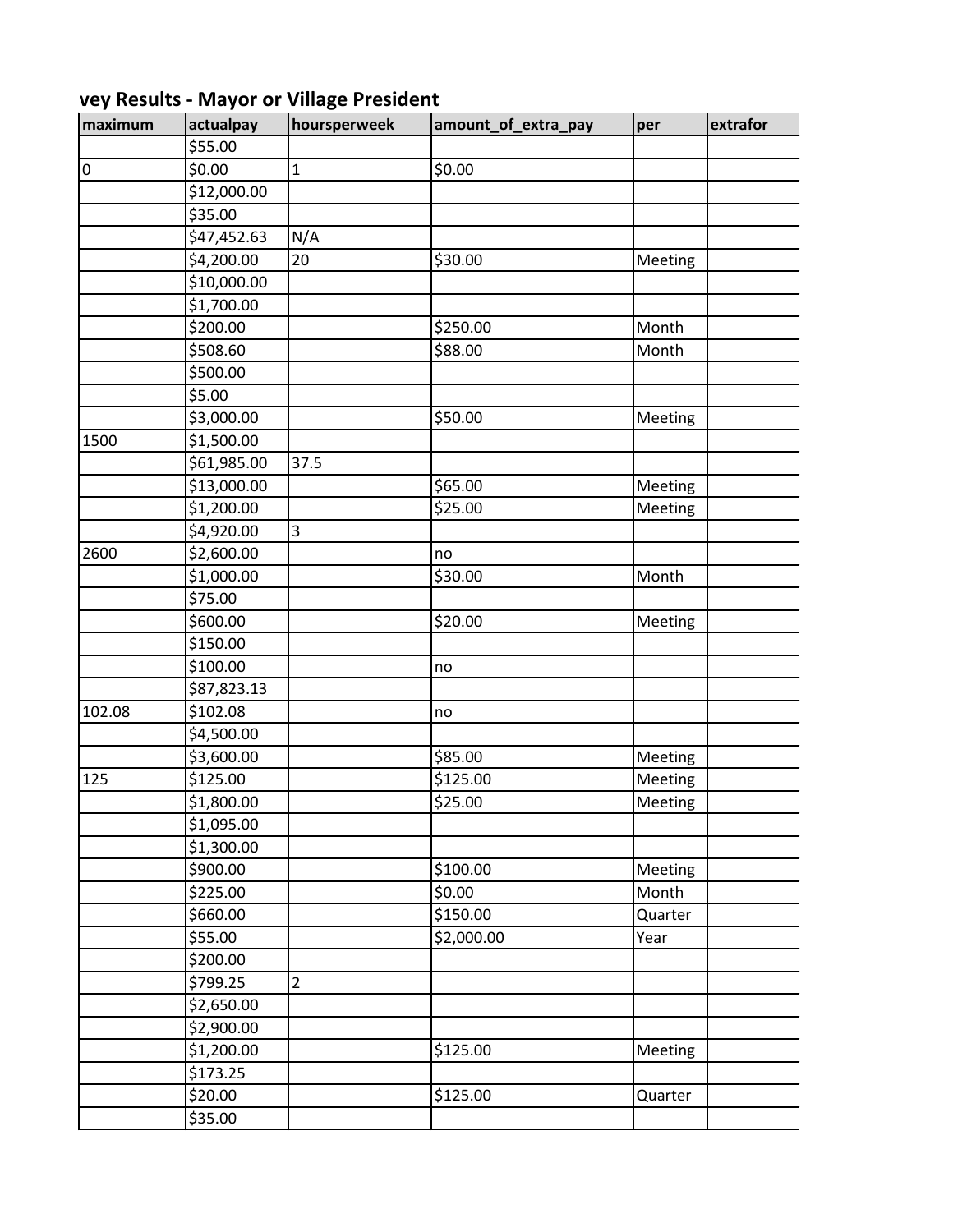| maximum   | actualpay   | hoursperweek   | amount_of_extra_pay | per     | extrafor |
|-----------|-------------|----------------|---------------------|---------|----------|
|           | \$55.00     |                |                     |         |          |
| $\pmb{0}$ | \$0.00      | $\mathbf 1$    | \$0.00              |         |          |
|           | \$12,000.00 |                |                     |         |          |
|           | \$35.00     |                |                     |         |          |
|           | \$47,452.63 | N/A            |                     |         |          |
|           | \$4,200.00  | 20             | \$30.00             | Meeting |          |
|           | \$10,000.00 |                |                     |         |          |
|           | \$1,700.00  |                |                     |         |          |
|           | \$200.00    |                | \$250.00            | Month   |          |
|           | \$508.60    |                | \$88.00             | Month   |          |
|           | \$500.00    |                |                     |         |          |
|           | \$5.00      |                |                     |         |          |
|           | \$3,000.00  |                | \$50.00             | Meeting |          |
| 1500      | \$1,500.00  |                |                     |         |          |
|           | \$61,985.00 | 37.5           |                     |         |          |
|           | \$13,000.00 |                | \$65.00             | Meeting |          |
|           | \$1,200.00  |                | \$25.00             | Meeting |          |
|           | \$4,920.00  | $\overline{3}$ |                     |         |          |
| 2600      | \$2,600.00  |                | no                  |         |          |
|           | \$1,000.00  |                | \$30.00             | Month   |          |
|           | \$75.00     |                |                     |         |          |
|           | \$600.00    |                | \$20.00             | Meeting |          |
|           | \$150.00    |                |                     |         |          |
|           | \$100.00    |                | no                  |         |          |
|           | \$87,823.13 |                |                     |         |          |
| 102.08    | \$102.08    |                | no                  |         |          |
|           | \$4,500.00  |                |                     |         |          |
|           | \$3,600.00  |                | \$85.00             | Meeting |          |
| 125       | \$125.00    |                | \$125.00            | Meeting |          |
|           | \$1,800.00  |                | \$25.00             | Meeting |          |
|           | \$1,095.00  |                |                     |         |          |
|           | \$1,300.00  |                |                     |         |          |
|           | \$900.00    |                | \$100.00            | Meeting |          |
|           | \$225.00    |                | \$0.00              | Month   |          |
|           | \$660.00    |                | \$150.00            | Quarter |          |
|           | \$55.00     |                | \$2,000.00          | Year    |          |
|           | \$200.00    |                |                     |         |          |
|           | \$799.25    | $\overline{2}$ |                     |         |          |
|           | \$2,650.00  |                |                     |         |          |
|           | \$2,900.00  |                |                     |         |          |
|           | \$1,200.00  |                | \$125.00            | Meeting |          |
|           | \$173.25    |                |                     |         |          |
|           | \$20.00     |                | \$125.00            | Quarter |          |
|           | \$35.00     |                |                     |         |          |

## **Mey Results - Mayor or Village President**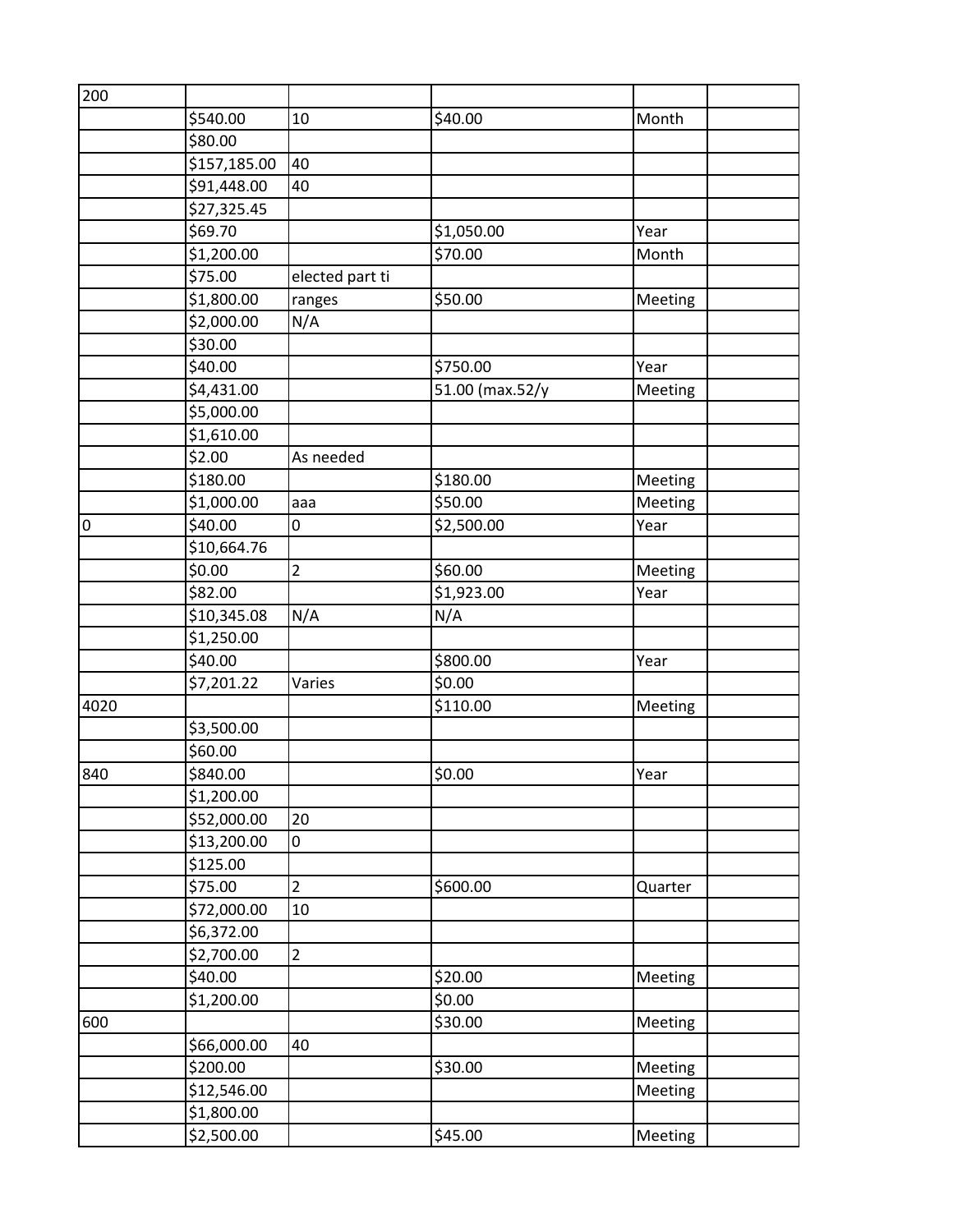| 200  |              |                 |                 |         |  |
|------|--------------|-----------------|-----------------|---------|--|
|      | \$540.00     | 10              | \$40.00         | Month   |  |
|      | \$80.00      |                 |                 |         |  |
|      | \$157,185.00 | 40              |                 |         |  |
|      | \$91,448.00  | 40              |                 |         |  |
|      | \$27,325.45  |                 |                 |         |  |
|      | \$69.70      |                 | \$1,050.00      | Year    |  |
|      | \$1,200.00   |                 | \$70.00         | Month   |  |
|      | \$75.00      | elected part ti |                 |         |  |
|      | \$1,800.00   | ranges          | \$50.00         | Meeting |  |
|      | \$2,000.00   | N/A             |                 |         |  |
|      | \$30.00      |                 |                 |         |  |
|      | \$40.00      |                 | \$750.00        | Year    |  |
|      | \$4,431.00   |                 | 51.00 (max.52/y | Meeting |  |
|      | \$5,000.00   |                 |                 |         |  |
|      | \$1,610.00   |                 |                 |         |  |
|      | \$2.00       | As needed       |                 |         |  |
|      | \$180.00     |                 | \$180.00        | Meeting |  |
|      | \$1,000.00   | aaa             | \$50.00         | Meeting |  |
| 0    | \$40.00      | 0               | \$2,500.00      | Year    |  |
|      | \$10,664.76  |                 |                 |         |  |
|      | \$0.00       | $\overline{2}$  | \$60.00         | Meeting |  |
|      | \$82.00      |                 | \$1,923.00      | Year    |  |
|      | \$10,345.08  | N/A             | N/A             |         |  |
|      | \$1,250.00   |                 |                 |         |  |
|      | \$40.00      |                 | \$800.00        | Year    |  |
|      | \$7,201.22   | Varies          | \$0.00          |         |  |
| 4020 |              |                 | \$110.00        | Meeting |  |
|      | \$3,500.00   |                 |                 |         |  |
|      | \$60.00      |                 |                 |         |  |
| 840  | \$840.00     |                 | \$0.00          | Year    |  |
|      | \$1,200.00   |                 |                 |         |  |
|      | \$52,000.00  | 20              |                 |         |  |
|      | \$13,200.00  | 0               |                 |         |  |
|      | \$125.00     |                 |                 |         |  |
|      | \$75.00      | $\overline{2}$  | \$600.00        | Quarter |  |
|      | \$72,000.00  | 10              |                 |         |  |
|      | \$6,372.00   |                 |                 |         |  |
|      | \$2,700.00   | $\overline{2}$  |                 |         |  |
|      | \$40.00      |                 | \$20.00         | Meeting |  |
|      | \$1,200.00   |                 | \$0.00          |         |  |
| 600  |              |                 | \$30.00         | Meeting |  |
|      | \$66,000.00  | 40              |                 |         |  |
|      | \$200.00     |                 | \$30.00         | Meeting |  |
|      | \$12,546.00  |                 |                 | Meeting |  |
|      | \$1,800.00   |                 |                 |         |  |
|      | \$2,500.00   |                 | \$45.00         | Meeting |  |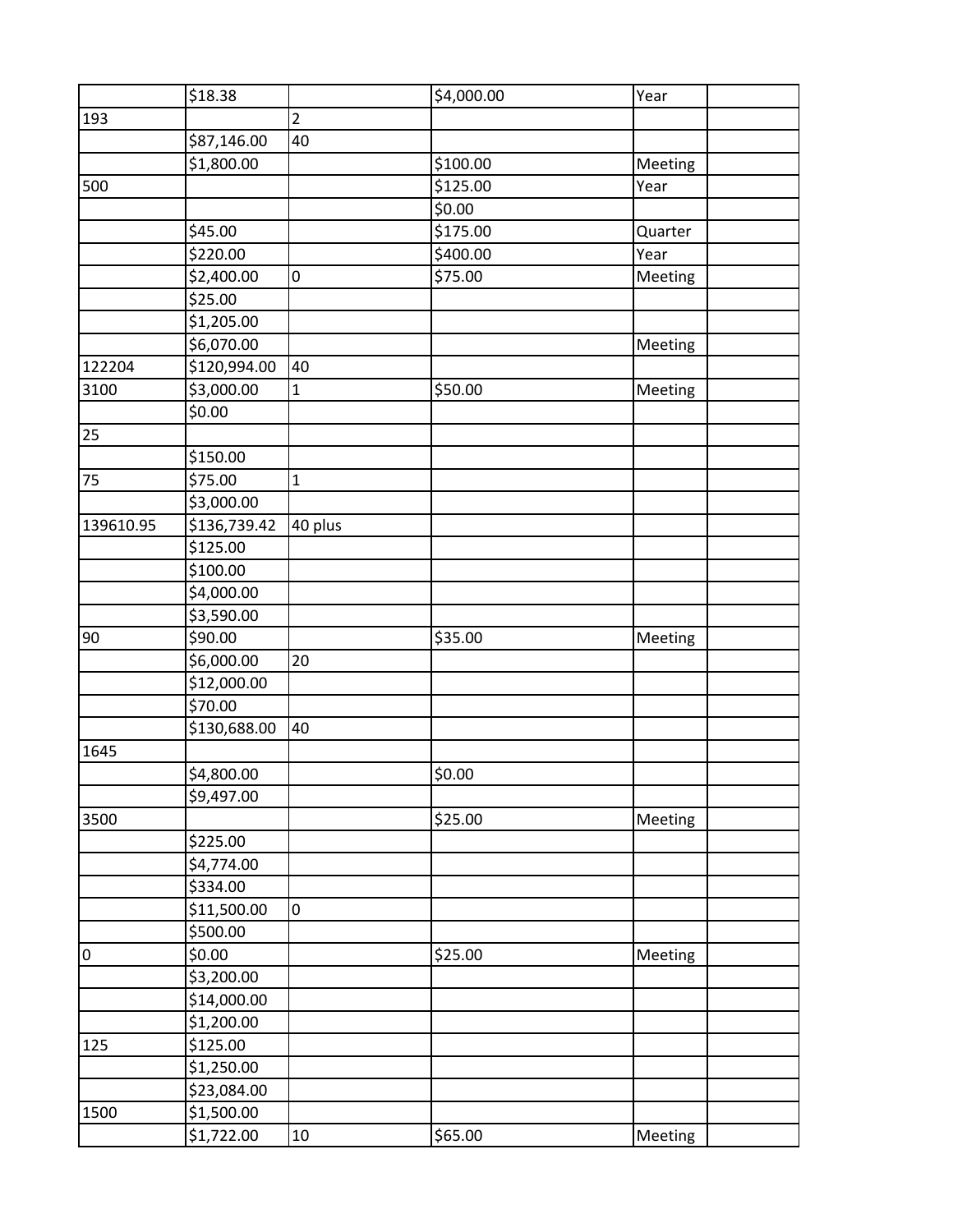|           | \$18.38      |                | \$4,000.00 | Year    |  |
|-----------|--------------|----------------|------------|---------|--|
| 193       |              | $\overline{2}$ |            |         |  |
|           | \$87,146.00  | 40             |            |         |  |
|           | \$1,800.00   |                | \$100.00   | Meeting |  |
| 500       |              |                | \$125.00   | Year    |  |
|           |              |                | \$0.00     |         |  |
|           | \$45.00      |                | \$175.00   | Quarter |  |
|           | \$220.00     |                | \$400.00   | Year    |  |
|           | \$2,400.00   | 0              | \$75.00    | Meeting |  |
|           | \$25.00      |                |            |         |  |
|           | \$1,205.00   |                |            |         |  |
|           | \$6,070.00   |                |            | Meeting |  |
| 122204    | \$120,994.00 | 40             |            |         |  |
| 3100      | \$3,000.00   | $\mathbf{1}$   | \$50.00    | Meeting |  |
|           | \$0.00       |                |            |         |  |
| 25        |              |                |            |         |  |
|           | \$150.00     |                |            |         |  |
| 75        | \$75.00      | $\mathbf{1}$   |            |         |  |
|           | \$3,000.00   |                |            |         |  |
| 139610.95 | \$136,739.42 | 40 plus        |            |         |  |
|           | \$125.00     |                |            |         |  |
|           | \$100.00     |                |            |         |  |
|           | \$4,000.00   |                |            |         |  |
|           | \$3,590.00   |                |            |         |  |
| 90        | \$90.00      |                | \$35.00    | Meeting |  |
|           | \$6,000.00   | 20             |            |         |  |
|           | \$12,000.00  |                |            |         |  |
|           | \$70.00      |                |            |         |  |
|           | \$130,688.00 | 40             |            |         |  |
| 1645      |              |                |            |         |  |
|           | \$4,800.00   |                | \$0.00     |         |  |
|           | \$9,497.00   |                |            |         |  |
| 3500      |              |                | \$25.00    | Meeting |  |
|           | \$225.00     |                |            |         |  |
|           | \$4,774.00   |                |            |         |  |
|           | \$334.00     |                |            |         |  |
|           | \$11,500.00  | 0              |            |         |  |
|           | \$500.00     |                |            |         |  |
| $\pmb{0}$ | \$0.00       |                | \$25.00    | Meeting |  |
|           | \$3,200.00   |                |            |         |  |
|           | \$14,000.00  |                |            |         |  |
|           | \$1,200.00   |                |            |         |  |
| 125       | \$125.00     |                |            |         |  |
|           | \$1,250.00   |                |            |         |  |
|           | \$23,084.00  |                |            |         |  |
| 1500      | \$1,500.00   |                |            |         |  |
|           | \$1,722.00   | $10\,$         | \$65.00    | Meeting |  |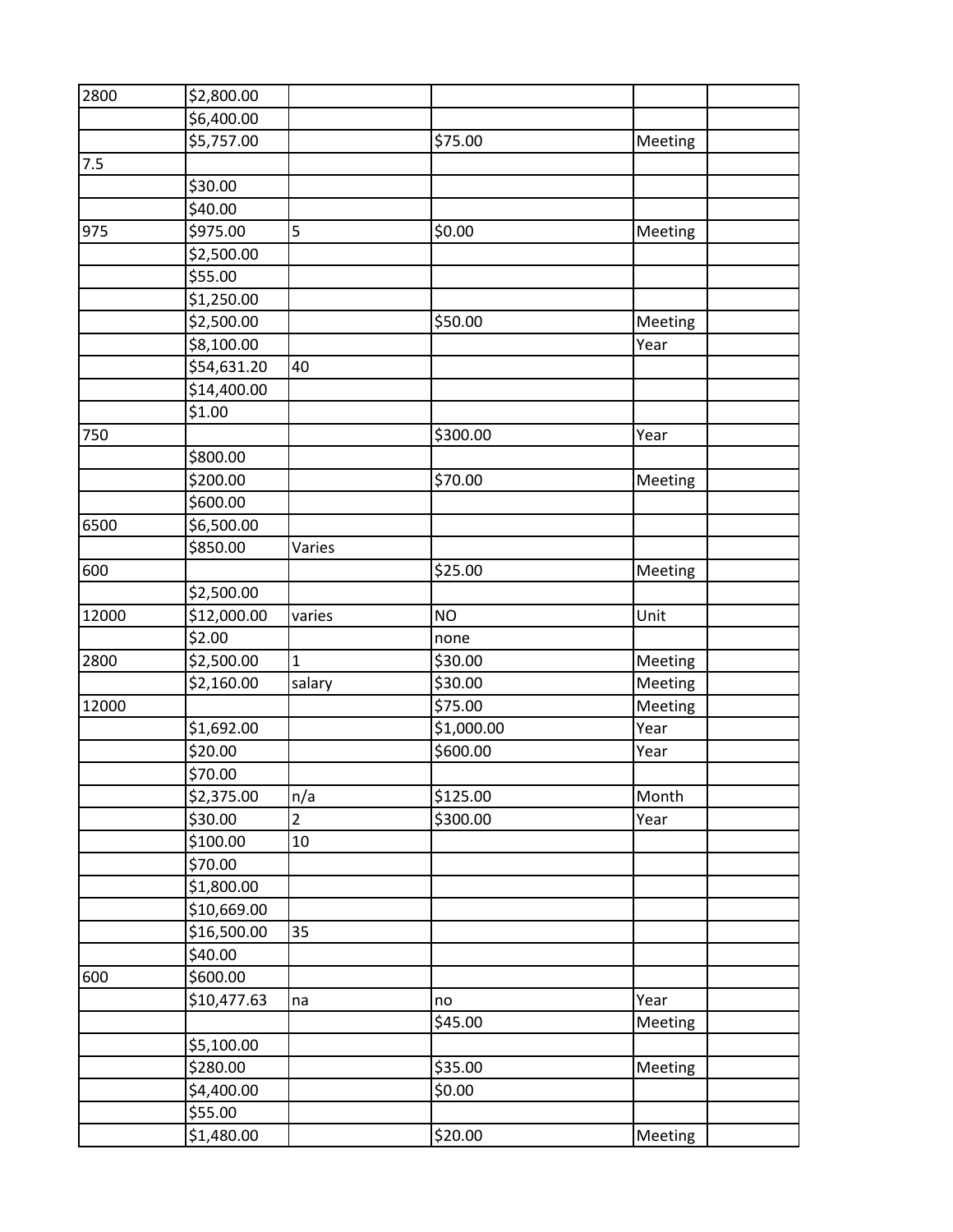| 2800  | \$2,800.00              |                |            |         |  |
|-------|-------------------------|----------------|------------|---------|--|
|       | \$6,400.00              |                |            |         |  |
|       | \$5,757.00              |                | \$75.00    | Meeting |  |
| 7.5   |                         |                |            |         |  |
|       | \$30.00                 |                |            |         |  |
|       | \$40.00                 |                |            |         |  |
| 975   | \$975.00                | 5              | \$0.00     | Meeting |  |
|       | \$2,500.00              |                |            |         |  |
|       | \$55.00                 |                |            |         |  |
|       | \$1,250.00              |                |            |         |  |
|       | \$2,500.00              |                | \$50.00    | Meeting |  |
|       | \$8,100.00              |                |            | Year    |  |
|       | \$54,631.20             | 40             |            |         |  |
|       | \$14,400.00             |                |            |         |  |
|       | \$1.00                  |                |            |         |  |
| 750   |                         |                | \$300.00   | Year    |  |
|       | \$800.00                |                |            |         |  |
|       | \$200.00                |                | \$70.00    | Meeting |  |
|       | \$600.00                |                |            |         |  |
| 6500  | \$6,500.00              |                |            |         |  |
|       | \$850.00                | Varies         |            |         |  |
| 600   |                         |                | \$25.00    | Meeting |  |
|       | \$2,500.00              |                |            |         |  |
| 12000 | \$12,000.00             | varies         | <b>NO</b>  | Unit    |  |
|       | \$2.00                  |                | none       |         |  |
| 2800  | \$2,500.00              | $\mathbf 1$    | \$30.00    | Meeting |  |
|       | \$2,160.00              | salary         | \$30.00    | Meeting |  |
| 12000 |                         |                | \$75.00    | Meeting |  |
|       | \$1,692.00              |                | \$1,000.00 | Year    |  |
|       | \$20.00                 |                | \$600.00   | Year    |  |
|       | $\frac{1}{5}70.00$      |                |            |         |  |
|       | \$2,375.00              | n/a            | \$125.00   | Month   |  |
|       | \$30.00                 | $\overline{2}$ | \$300.00   | Year    |  |
|       | \$100.00                | 10             |            |         |  |
|       | \$70.00                 |                |            |         |  |
|       | \$1,800.00              |                |            |         |  |
|       | \$10,669.00             |                |            |         |  |
|       | $\overline{$}16,500.00$ | 35             |            |         |  |
|       | \$40.00                 |                |            |         |  |
| 600   | \$600.00                |                |            |         |  |
|       | \$10,477.63             | na             | no         | Year    |  |
|       |                         |                | \$45.00    | Meeting |  |
|       | \$5,100.00              |                |            |         |  |
|       | \$280.00                |                | \$35.00    | Meeting |  |
|       | \$4,400.00              |                | \$0.00     |         |  |
|       | \$55.00                 |                |            |         |  |
|       | \$1,480.00              |                | \$20.00    | Meeting |  |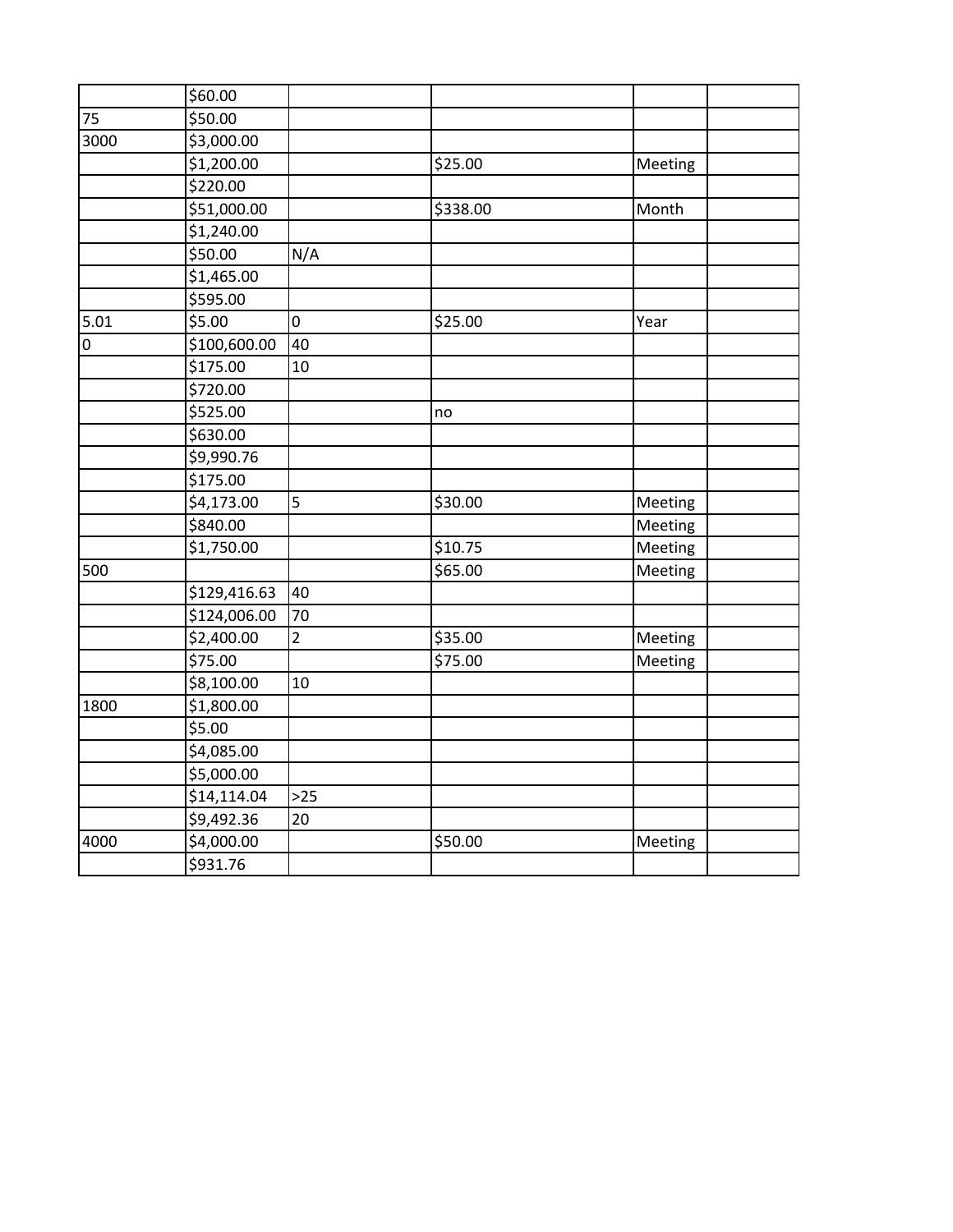|                | \$60.00      |                |          |         |  |
|----------------|--------------|----------------|----------|---------|--|
| 75             | \$50.00      |                |          |         |  |
| 3000           | \$3,000.00   |                |          |         |  |
|                | \$1,200.00   |                | \$25.00  | Meeting |  |
|                | \$220.00     |                |          |         |  |
|                | \$51,000.00  |                | \$338.00 | Month   |  |
|                | \$1,240.00   |                |          |         |  |
|                | \$50.00      | N/A            |          |         |  |
|                | \$1,465.00   |                |          |         |  |
|                | \$595.00     |                |          |         |  |
| 5.01           | \$5.00       | 0              | \$25.00  | Year    |  |
| $\overline{0}$ | \$100,600.00 | 40             |          |         |  |
|                | \$175.00     | 10             |          |         |  |
|                | \$720.00     |                |          |         |  |
|                | \$525.00     |                | no       |         |  |
|                | \$630.00     |                |          |         |  |
|                | \$9,990.76   |                |          |         |  |
|                | \$175.00     |                |          |         |  |
|                | \$4,173.00   | 5              | \$30.00  | Meeting |  |
|                | \$840.00     |                |          | Meeting |  |
|                | \$1,750.00   |                | \$10.75  | Meeting |  |
| 500            |              |                | \$65.00  | Meeting |  |
|                | \$129,416.63 | 40             |          |         |  |
|                | \$124,006.00 | 70             |          |         |  |
|                | \$2,400.00   | $\overline{2}$ | \$35.00  | Meeting |  |
|                | \$75.00      |                | \$75.00  | Meeting |  |
|                | \$8,100.00   | 10             |          |         |  |
| 1800           | \$1,800.00   |                |          |         |  |
|                | \$5.00       |                |          |         |  |
|                | \$4,085.00   |                |          |         |  |
|                | \$5,000.00   |                |          |         |  |
|                | \$14,114.04  | $>25$          |          |         |  |
|                | \$9,492.36   | 20             |          |         |  |
| 4000           | \$4,000.00   |                | \$50.00  | Meeting |  |
|                | \$931.76     |                |          |         |  |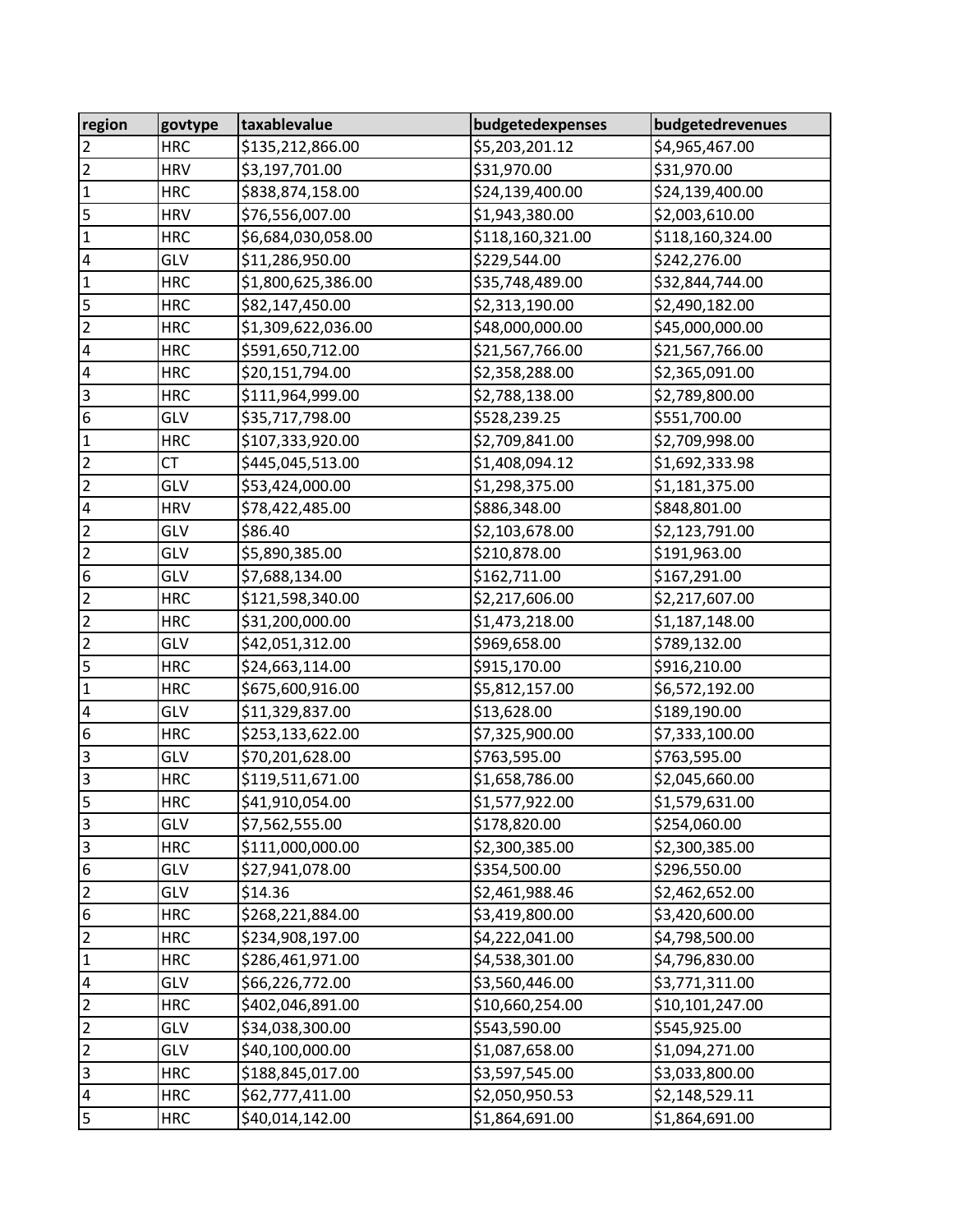| region                  | govtype    | taxablevalue       | budgetedexpenses | budgetedrevenues |
|-------------------------|------------|--------------------|------------------|------------------|
| $\overline{2}$          | <b>HRC</b> | \$135,212,866.00   | \$5,203,201.12   | \$4,965,467.00   |
| $\overline{c}$          | <b>HRV</b> | \$3,197,701.00     | \$31,970.00      | \$31,970.00      |
| $\mathbf 1$             | <b>HRC</b> | \$838,874,158.00   | \$24,139,400.00  | \$24,139,400.00  |
| 5                       | <b>HRV</b> | \$76,556,007.00    | \$1,943,380.00   | \$2,003,610.00   |
| $\mathbf 1$             | <b>HRC</b> | \$6,684,030,058.00 | \$118,160,321.00 | \$118,160,324.00 |
| $\overline{\mathbf{4}}$ | GLV        | \$11,286,950.00    | \$229,544.00     | \$242,276.00     |
| $\mathbf 1$             | <b>HRC</b> | \$1,800,625,386.00 | \$35,748,489.00  | \$32,844,744.00  |
| 5                       | <b>HRC</b> | \$82,147,450.00    | \$2,313,190.00   | \$2,490,182.00   |
| $\overline{c}$          | <b>HRC</b> | \$1,309,622,036.00 | \$48,000,000.00  | \$45,000,000.00  |
| $\pmb{4}$               | <b>HRC</b> | \$591,650,712.00   | \$21,567,766.00  | \$21,567,766.00  |
| $\overline{\mathbf{4}}$ | <b>HRC</b> | \$20,151,794.00    | \$2,358,288.00   | \$2,365,091.00   |
| $\overline{3}$          | <b>HRC</b> | \$111,964,999.00   | \$2,788,138.00   | \$2,789,800.00   |
| $\boldsymbol{6}$        | GLV        | \$35,717,798.00    | \$528,239.25     | \$551,700.00     |
| $\mathbf 1$             | <b>HRC</b> | \$107,333,920.00   | \$2,709,841.00   | \$2,709,998.00   |
| $\overline{\mathbf{c}}$ | <b>CT</b>  | \$445,045,513.00   | \$1,408,094.12   | \$1,692,333.98   |
| $\overline{2}$          | GLV        | \$53,424,000.00    | \$1,298,375.00   | \$1,181,375.00   |
| $\pmb{4}$               | <b>HRV</b> | \$78,422,485.00    | \$886,348.00     | \$848,801.00     |
| $\overline{c}$          | GLV        | \$86.40            | \$2,103,678.00   | \$2,123,791.00   |
| $\overline{c}$          | GLV        | \$5,890,385.00     | \$210,878.00     | \$191,963.00     |
| 6                       | GLV        | \$7,688,134.00     | \$162,711.00     | \$167,291.00     |
| $\overline{\mathbf{c}}$ | <b>HRC</b> | \$121,598,340.00   | \$2,217,606.00   | \$2,217,607.00   |
| $\overline{2}$          | <b>HRC</b> | \$31,200,000.00    | \$1,473,218.00   | \$1,187,148.00   |
| $\overline{2}$          | GLV        | \$42,051,312.00    | \$969,658.00     | \$789,132.00     |
| 5                       | <b>HRC</b> | \$24,663,114.00    | \$915,170.00     | \$916,210.00     |
| $\mathbf 1$             | <b>HRC</b> | \$675,600,916.00   | \$5,812,157.00   | \$6,572,192.00   |
| $\pmb{4}$               | GLV        | \$11,329,837.00    | \$13,628.00      | \$189,190.00     |
| 6                       | <b>HRC</b> | \$253,133,622.00   | \$7,325,900.00   | \$7,333,100.00   |
| $\overline{\mathbf{3}}$ | GLV        | \$70,201,628.00    | \$763,595.00     | \$763,595.00     |
| $\overline{\mathbf{3}}$ | <b>HRC</b> | \$119,511,671.00   | \$1,658,786.00   | \$2,045,660.00   |
| 5                       | <b>HRC</b> | \$41,910,054.00    | \$1,577,922.00   | \$1,579,631.00   |
| 3                       | GLV        | \$7,562,555.00     | \$178,820.00     | \$254,060.00     |
| $\overline{\mathbf{3}}$ | <b>HRC</b> | \$111,000,000.00   | \$2,300,385.00   | \$2,300,385.00   |
| $\overline{6}$          | GLV        | \$27,941,078.00    | \$354,500.00     | \$296,550.00     |
| $\overline{c}$          | GLV        | \$14.36            | \$2,461,988.46   | \$2,462,652.00   |
| 6                       | <b>HRC</b> | \$268,221,884.00   | \$3,419,800.00   | \$3,420,600.00   |
| $\mathbf 2$             | <b>HRC</b> | \$234,908,197.00   | \$4,222,041.00   | \$4,798,500.00   |
| $\mathbf 1$             | <b>HRC</b> | \$286,461,971.00   | \$4,538,301.00   | \$4,796,830.00   |
| 4                       | GLV        | \$66,226,772.00    | \$3,560,446.00   | \$3,771,311.00   |
| $\overline{2}$          | <b>HRC</b> | \$402,046,891.00   | \$10,660,254.00  | \$10,101,247.00  |
| $\overline{\mathbf{c}}$ | GLV        | \$34,038,300.00    | \$543,590.00     | \$545,925.00     |
| $\overline{c}$          | GLV        | \$40,100,000.00    | \$1,087,658.00   | \$1,094,271.00   |
| $\overline{3}$          | <b>HRC</b> | \$188,845,017.00   | \$3,597,545.00   | \$3,033,800.00   |
| 4                       | <b>HRC</b> | \$62,777,411.00    | \$2,050,950.53   | \$2,148,529.11   |
| 5                       | <b>HRC</b> | \$40,014,142.00    | \$1,864,691.00   | \$1,864,691.00   |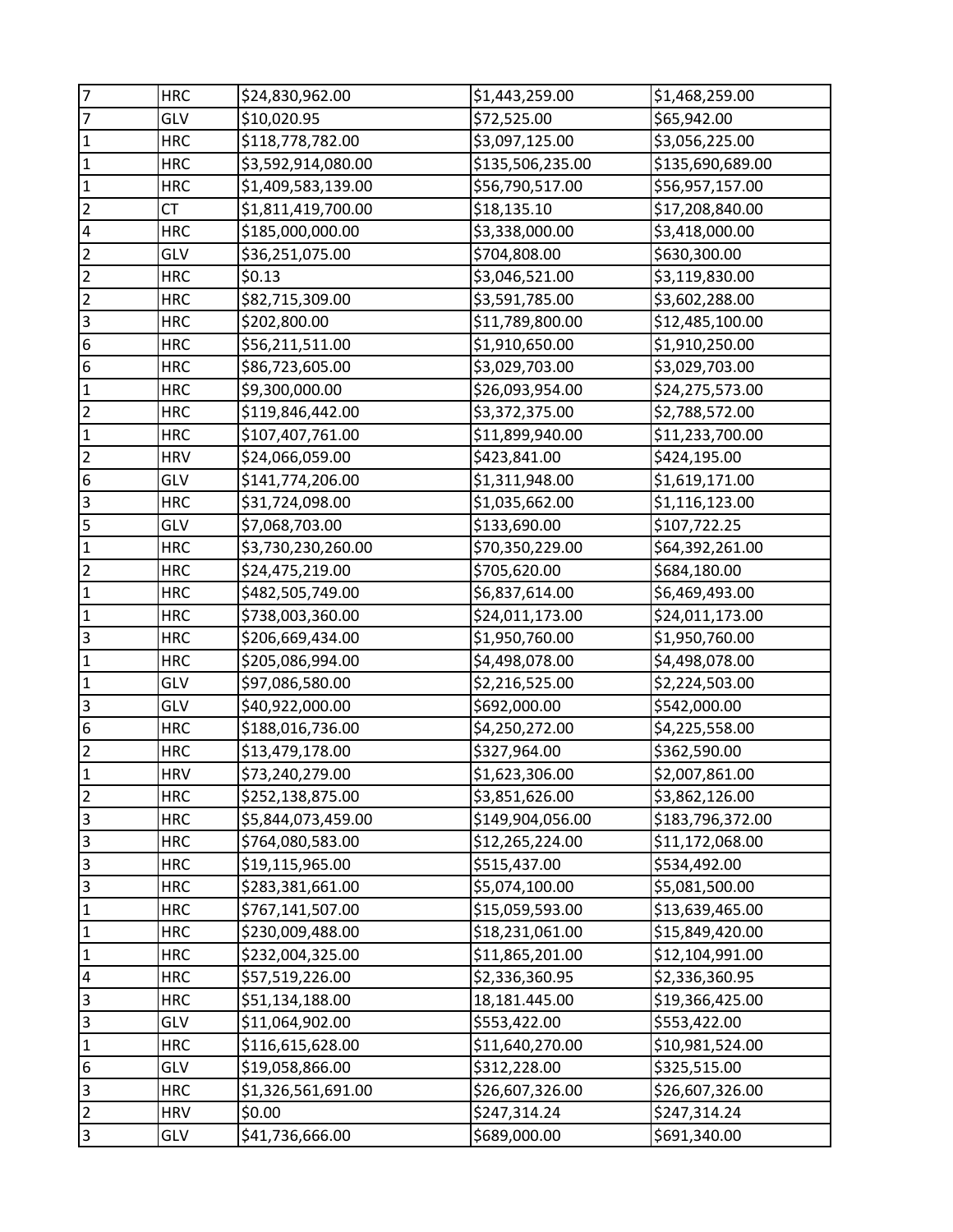| $\overline{7}$          | <b>HRC</b> | \$24,830,962.00    | \$1,443,259.00   | \$1,468,259.00   |
|-------------------------|------------|--------------------|------------------|------------------|
| $\overline{7}$          | GLV        | \$10,020.95        | \$72,525.00      | \$65,942.00      |
| $\mathbf 1$             | <b>HRC</b> | \$118,778,782.00   | \$3,097,125.00   | \$3,056,225.00   |
| $\mathbf{1}$            | <b>HRC</b> | \$3,592,914,080.00 | \$135,506,235.00 | \$135,690,689.00 |
| $\overline{1}$          | <b>HRC</b> | \$1,409,583,139.00 | \$56,790,517.00  | \$56,957,157.00  |
| $\overline{2}$          | СT         | \$1,811,419,700.00 | \$18,135.10      | \$17,208,840.00  |
| $\overline{\mathbf{4}}$ | <b>HRC</b> | \$185,000,000.00   | \$3,338,000.00   | \$3,418,000.00   |
| $\overline{2}$          | GLV        | \$36,251,075.00    | \$704,808.00     | \$630,300.00     |
| $\overline{2}$          | <b>HRC</b> | \$0.13             | \$3,046,521.00   | \$3,119,830.00   |
| $\overline{2}$          | <b>HRC</b> | \$82,715,309.00    | \$3,591,785.00   | \$3,602,288.00   |
| $\overline{\mathbf{3}}$ | <b>HRC</b> | \$202,800.00       | \$11,789,800.00  | \$12,485,100.00  |
| $\boldsymbol{6}$        | <b>HRC</b> | \$56,211,511.00    | \$1,910,650.00   | \$1,910,250.00   |
| $\boldsymbol{6}$        | <b>HRC</b> | \$86,723,605.00    | \$3,029,703.00   | \$3,029,703.00   |
| $\mathbf 1$             | <b>HRC</b> | \$9,300,000.00     | \$26,093,954.00  | \$24,275,573.00  |
| $\overline{c}$          | <b>HRC</b> | \$119,846,442.00   | \$3,372,375.00   | \$2,788,572.00   |
| $\mathbf{1}$            | <b>HRC</b> | \$107,407,761.00   | \$11,899,940.00  | \$11,233,700.00  |
| $\overline{2}$          | <b>HRV</b> | \$24,066,059.00    | \$423,841.00     | \$424,195.00     |
| $\boldsymbol{6}$        | GLV        | \$141,774,206.00   | \$1,311,948.00   | \$1,619,171.00   |
| $\overline{3}$          | <b>HRC</b> | \$31,724,098.00    | \$1,035,662.00   | \$1,116,123.00   |
| 5                       | GLV        | \$7,068,703.00     | \$133,690.00     | \$107,722.25     |
| $\mathbf 1$             | <b>HRC</b> | \$3,730,230,260.00 | \$70,350,229.00  | \$64,392,261.00  |
| $\overline{2}$          | <b>HRC</b> | \$24,475,219.00    | \$705,620.00     | \$684,180.00     |
| $\mathbf{1}$            | <b>HRC</b> | \$482,505,749.00   | \$6,837,614.00   | \$6,469,493.00   |
| $\mathbf{1}$            | <b>HRC</b> | \$738,003,360.00   | \$24,011,173.00  | \$24,011,173.00  |
| $\overline{3}$          | <b>HRC</b> | \$206,669,434.00   | \$1,950,760.00   | \$1,950,760.00   |
| $\mathbf 1$             | <b>HRC</b> | \$205,086,994.00   | \$4,498,078.00   | \$4,498,078.00   |
| $\overline{1}$          | GLV        | \$97,086,580.00    | \$2,216,525.00   | \$2,224,503.00   |
| $\overline{\mathbf{3}}$ | GLV        | \$40,922,000.00    | \$692,000.00     | \$542,000.00     |
| $\boldsymbol{6}$        | <b>HRC</b> | \$188,016,736.00   | \$4,250,272.00   | \$4,225,558.00   |
| $\overline{2}$          | <b>HRC</b> | \$13,479,178.00    | \$327,964.00     | \$362,590.00     |
| $\mathbf{1}$            | <b>HRV</b> | \$73,240,279.00    | \$1,623,306.00   | \$2,007,861.00   |
| $\overline{2}$          | <b>HRC</b> | \$252,138,875.00   | \$3,851,626.00   | \$3,862,126.00   |
| $\overline{3}$          | <b>HRC</b> | \$5,844,073,459.00 | \$149,904,056.00 | \$183,796,372.00 |
| $\overline{3}$          | <b>HRC</b> | \$764,080,583.00   | \$12,265,224.00  | \$11,172,068.00  |
| $\overline{3}$          | <b>HRC</b> | \$19,115,965.00    | \$515,437.00     | \$534,492.00     |
| $\overline{\mathsf{3}}$ | <b>HRC</b> | \$283,381,661.00   | \$5,074,100.00   | \$5,081,500.00   |
| $\mathbf 1$             | <b>HRC</b> | \$767,141,507.00   | \$15,059,593.00  | \$13,639,465.00  |
| $\mathbf{1}$            | <b>HRC</b> | \$230,009,488.00   | \$18,231,061.00  | \$15,849,420.00  |
| $\mathbf{1}$            | <b>HRC</b> | \$232,004,325.00   | \$11,865,201.00  | \$12,104,991.00  |
| $\overline{\mathbf{4}}$ | <b>HRC</b> | \$57,519,226.00    | \$2,336,360.95   | \$2,336,360.95   |
| $\overline{3}$          | <b>HRC</b> | \$51,134,188.00    | 18,181.445.00    | \$19,366,425.00  |
| 3                       | GLV        | \$11,064,902.00    | \$553,422.00     | \$553,422.00     |
| $\vert$ 1               | <b>HRC</b> | \$116,615,628.00   | \$11,640,270.00  | \$10,981,524.00  |
| 6                       | GLV        | \$19,058,866.00    | \$312,228.00     | \$325,515.00     |
| $\overline{\mathbf{3}}$ | <b>HRC</b> | \$1,326,561,691.00 | \$26,607,326.00  | \$26,607,326.00  |
| $\overline{2}$          | <b>HRV</b> | \$0.00             | \$247,314.24     | \$247,314.24     |
| $\overline{3}$          | GLV        | \$41,736,666.00    | \$689,000.00     | \$691,340.00     |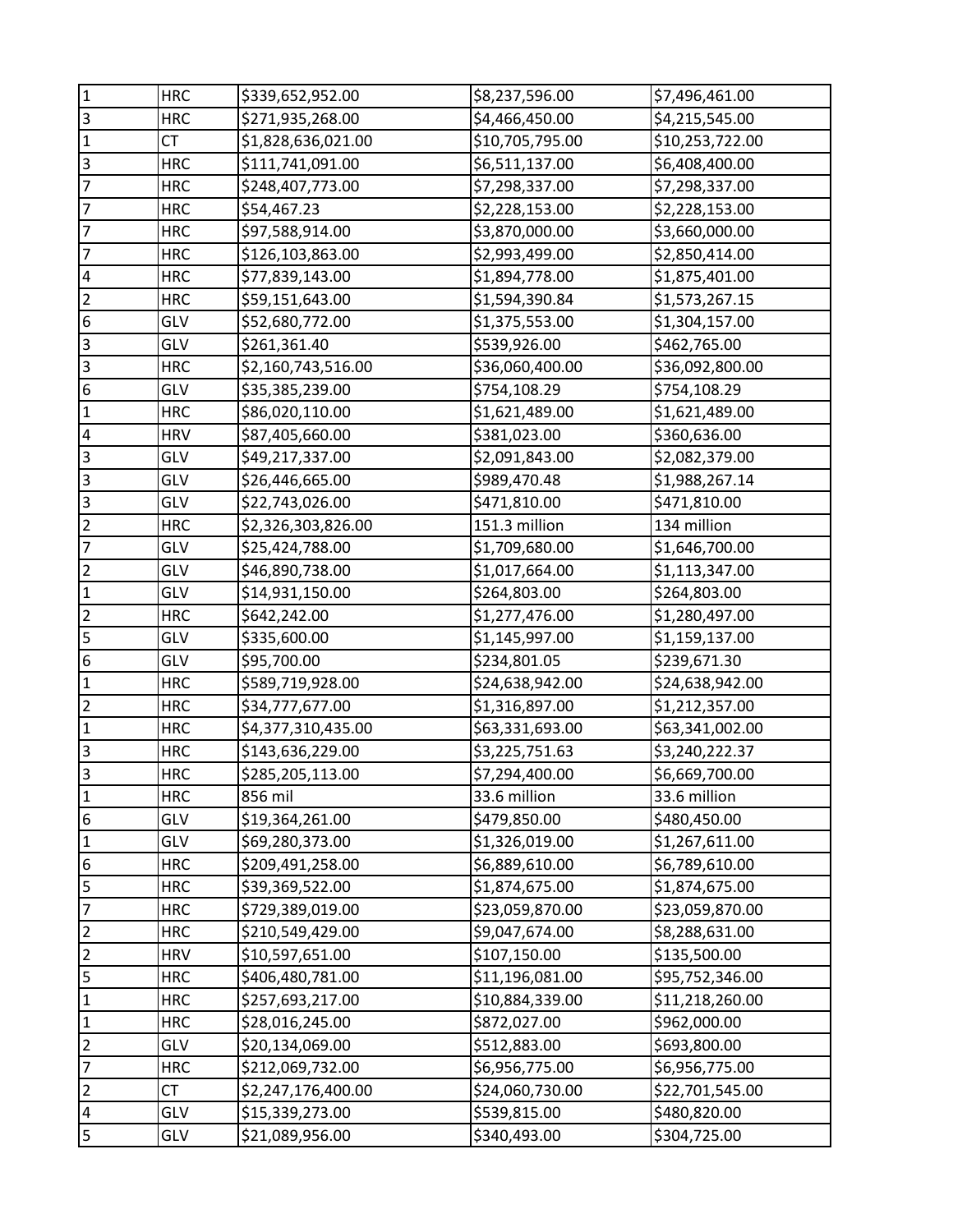| $\mathbf{1}$            | <b>HRC</b> | \$339,652,952.00   | \$8,237,596.00  | \$7,496,461.00  |
|-------------------------|------------|--------------------|-----------------|-----------------|
| $\overline{3}$          | <b>HRC</b> | \$271,935,268.00   | \$4,466,450.00  | \$4,215,545.00  |
| $\mathbf 1$             | CT         | \$1,828,636,021.00 | \$10,705,795.00 | \$10,253,722.00 |
| $\overline{\mathbf{3}}$ | <b>HRC</b> | \$111,741,091.00   | \$6,511,137.00  | \$6,408,400.00  |
| $\overline{7}$          | <b>HRC</b> | \$248,407,773.00   | \$7,298,337.00  | \$7,298,337.00  |
| 7                       | <b>HRC</b> | \$54,467.23        | \$2,228,153.00  | \$2,228,153.00  |
| $\overline{7}$          | <b>HRC</b> | \$97,588,914.00    | \$3,870,000.00  | \$3,660,000.00  |
| $\overline{7}$          | <b>HRC</b> | \$126,103,863.00   | \$2,993,499.00  | \$2,850,414.00  |
| $\overline{\mathbf{4}}$ | <b>HRC</b> | \$77,839,143.00    | \$1,894,778.00  | \$1,875,401.00  |
| $\overline{2}$          | <b>HRC</b> | \$59,151,643.00    | \$1,594,390.84  | \$1,573,267.15  |
| $\boldsymbol{6}$        | GLV        | \$52,680,772.00    | \$1,375,553.00  | \$1,304,157.00  |
| $\overline{3}$          | GLV        | \$261,361.40       | \$539,926.00    | \$462,765.00    |
| $\overline{3}$          | <b>HRC</b> | \$2,160,743,516.00 | \$36,060,400.00 | \$36,092,800.00 |
| $\boldsymbol{6}$        | GLV        | \$35,385,239.00    | \$754,108.29    | \$754,108.29    |
| $\mathbf 1$             | <b>HRC</b> | \$86,020,110.00    | \$1,621,489.00  | \$1,621,489.00  |
| 4                       | <b>HRV</b> | \$87,405,660.00    | \$381,023.00    | \$360,636.00    |
| $\overline{3}$          | GLV        | \$49,217,337.00    | \$2,091,843.00  | \$2,082,379.00  |
| $\overline{3}$          | GLV        | \$26,446,665.00    | \$989,470.48    | \$1,988,267.14  |
| $\overline{\mathbf{3}}$ | GLV        | \$22,743,026.00    | \$471,810.00    | \$471,810.00    |
| $\overline{2}$          | <b>HRC</b> | \$2,326,303,826.00 | 151.3 million   | 134 million     |
| $\overline{7}$          | GLV        | \$25,424,788.00    | \$1,709,680.00  | \$1,646,700.00  |
| $\overline{\mathbf{c}}$ | GLV        | \$46,890,738.00    | \$1,017,664.00  | \$1,113,347.00  |
| $\mathbf 1$             | GLV        | \$14,931,150.00    | \$264,803.00    | \$264,803.00    |
| $\overline{2}$          | <b>HRC</b> | \$642,242.00       | \$1,277,476.00  | \$1,280,497.00  |
| 5                       | GLV        | \$335,600.00       | \$1,145,997.00  | \$1,159,137.00  |
| $\overline{6}$          | GLV        | \$95,700.00        | \$234,801.05    | \$239,671.30    |
| $\mathbf 1$             | <b>HRC</b> | \$589,719,928.00   | \$24,638,942.00 | \$24,638,942.00 |
| $\overline{c}$          | <b>HRC</b> | \$34,777,677.00    | \$1,316,897.00  | \$1,212,357.00  |
| $\mathbf{1}$            | <b>HRC</b> | \$4,377,310,435.00 | \$63,331,693.00 | \$63,341,002.00 |
| $\overline{\mathbf{3}}$ | <b>HRC</b> | \$143,636,229.00   | \$3,225,751.63  | \$3,240,222.37  |
| $\overline{3}$          | <b>HRC</b> | \$285,205,113.00   | \$7,294,400.00  | \$6,669,700.00  |
| $\mathbf{1}$            | <b>HRC</b> | 856 mil            | 33.6 million    | 33.6 million    |
| $\boldsymbol{6}$        | GLV        | \$19,364,261.00    | \$479,850.00    | \$480,450.00    |
| $\mathbf 1$             | GLV        | \$69,280,373.00    | \$1,326,019.00  | \$1,267,611.00  |
| $\boldsymbol{6}$        | <b>HRC</b> | \$209,491,258.00   | \$6,889,610.00  | \$6,789,610.00  |
| 5                       | <b>HRC</b> | \$39,369,522.00    | \$1,874,675.00  | \$1,874,675.00  |
| $\overline{7}$          | <b>HRC</b> | \$729,389,019.00   | \$23,059,870.00 | \$23,059,870.00 |
| 2                       | <b>HRC</b> | \$210,549,429.00   | \$9,047,674.00  | \$8,288,631.00  |
| $\overline{c}$          | <b>HRV</b> | \$10,597,651.00    | \$107,150.00    | \$135,500.00    |
| 5                       | <b>HRC</b> | \$406,480,781.00   | \$11,196,081.00 | \$95,752,346.00 |
| $\mathbf 1$             | <b>HRC</b> | \$257,693,217.00   | \$10,884,339.00 | \$11,218,260.00 |
| $\mathbf 1$             | <b>HRC</b> | \$28,016,245.00    | \$872,027.00    | \$962,000.00    |
| $\mathbf 2$             | GLV        | \$20,134,069.00    | \$512,883.00    | \$693,800.00    |
| 7                       | <b>HRC</b> | \$212,069,732.00   | \$6,956,775.00  | \$6,956,775.00  |
| $\overline{2}$          | <b>CT</b>  | \$2,247,176,400.00 | \$24,060,730.00 | \$22,701,545.00 |
| 4                       | GLV        | \$15,339,273.00    | \$539,815.00    | \$480,820.00    |
| 5                       | GLV        | \$21,089,956.00    | \$340,493.00    | \$304,725.00    |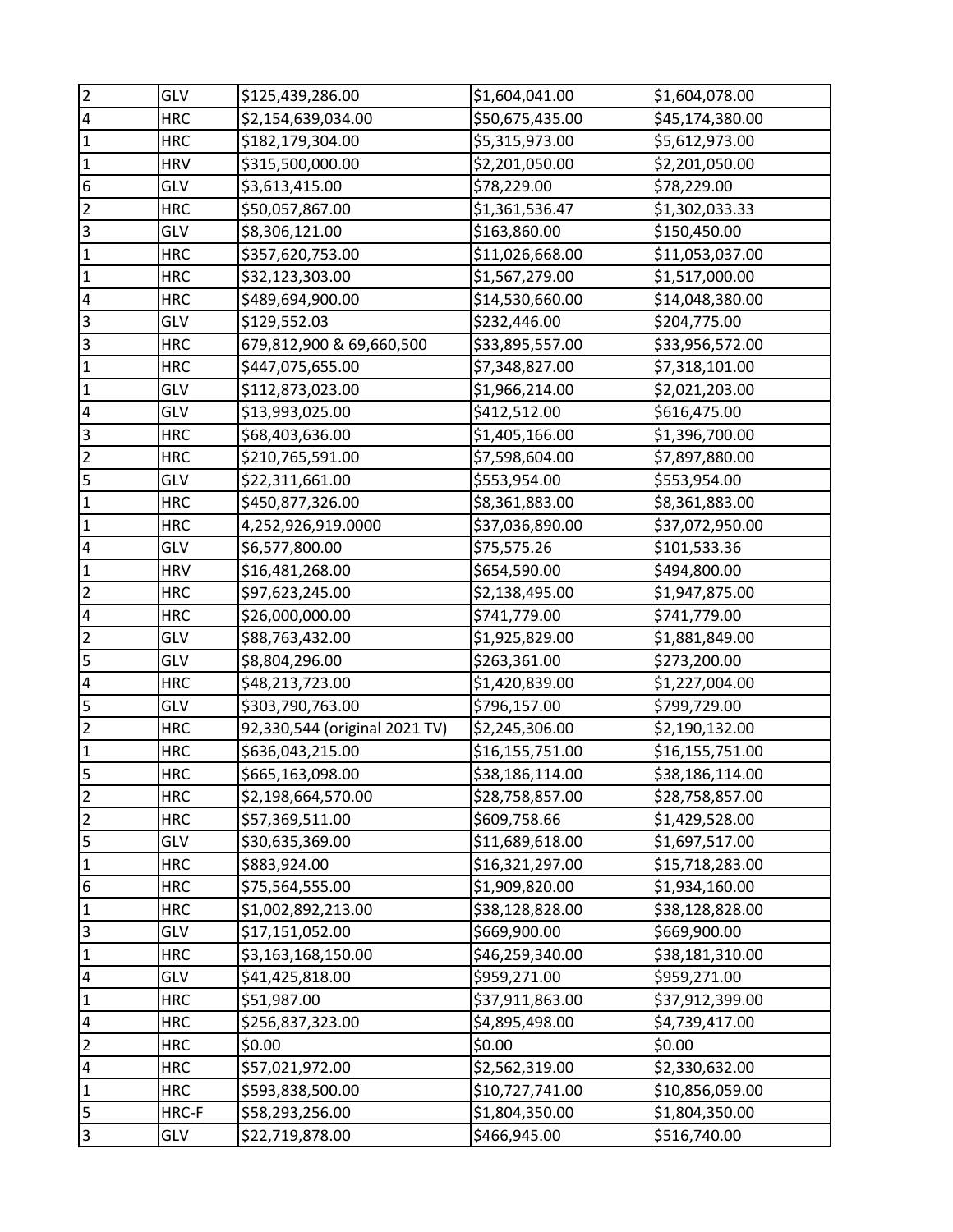| $\overline{2}$          | GLV        | \$125,439,286.00              | \$1,604,041.00  | \$1,604,078.00  |
|-------------------------|------------|-------------------------------|-----------------|-----------------|
| $\overline{\mathbf{4}}$ | <b>HRC</b> | \$2,154,639,034.00            | \$50,675,435.00 | \$45,174,380.00 |
| $\mathbf 1$             | <b>HRC</b> | \$182,179,304.00              | \$5,315,973.00  | \$5,612,973.00  |
| $\mathbf 1$             | <b>HRV</b> | \$315,500,000.00              | \$2,201,050.00  | \$2,201,050.00  |
| 6                       | GLV        | \$3,613,415.00                | \$78,229.00     | \$78,229.00     |
| $\overline{2}$          | <b>HRC</b> | \$50,057,867.00               | \$1,361,536.47  | \$1,302,033.33  |
| $\overline{\mathbf{3}}$ | GLV        | \$8,306,121.00                | \$163,860.00    | \$150,450.00    |
| $\mathbf 1$             | <b>HRC</b> | \$357,620,753.00              | \$11,026,668.00 | \$11,053,037.00 |
| $\mathbf{1}$            | <b>HRC</b> | \$32,123,303.00               | \$1,567,279.00  | \$1,517,000.00  |
| $\overline{\mathbf{4}}$ | <b>HRC</b> | \$489,694,900.00              | \$14,530,660.00 | \$14,048,380.00 |
| $\overline{\mathbf{3}}$ | GLV        | \$129,552.03                  | \$232,446.00    | \$204,775.00    |
| $\overline{3}$          | <b>HRC</b> | 679,812,900 & 69,660,500      | \$33,895,557.00 | \$33,956,572.00 |
| $\mathbf{1}$            | <b>HRC</b> | \$447,075,655.00              | \$7,348,827.00  | \$7,318,101.00  |
| $\mathbf 1$             | GLV        | \$112,873,023.00              | \$1,966,214.00  | \$2,021,203.00  |
| $\overline{\mathbf{4}}$ | GLV        | \$13,993,025.00               | \$412,512.00    | \$616,475.00    |
| $\overline{\mathbf{3}}$ | <b>HRC</b> | \$68,403,636.00               | \$1,405,166.00  | \$1,396,700.00  |
| $\overline{c}$          | <b>HRC</b> | \$210,765,591.00              | \$7,598,604.00  | \$7,897,880.00  |
| 5                       | GLV        | \$22,311,661.00               | \$553,954.00    | \$553,954.00    |
| $\mathbf 1$             | <b>HRC</b> | \$450,877,326.00              | \$8,361,883.00  | \$8,361,883.00  |
| $\overline{1}$          | <b>HRC</b> | 4,252,926,919.0000            | \$37,036,890.00 | \$37,072,950.00 |
| 4                       | GLV        | \$6,577,800.00                | \$75,575.26     | \$101,533.36    |
| $\mathbf 1$             | <b>HRV</b> | \$16,481,268.00               | \$654,590.00    | \$494,800.00    |
| $\overline{2}$          | <b>HRC</b> | \$97,623,245.00               | \$2,138,495.00  | \$1,947,875.00  |
| $\overline{\mathbf{4}}$ | <b>HRC</b> | \$26,000,000.00               | \$741,779.00    | \$741,779.00    |
| $\overline{2}$          | GLV        | \$88,763,432.00               | \$1,925,829.00  | \$1,881,849.00  |
| $\overline{\mathbf{5}}$ | GLV        | \$8,804,296.00                | \$263,361.00    | \$273,200.00    |
| $\overline{\mathbf{4}}$ | <b>HRC</b> | \$48,213,723.00               | \$1,420,839.00  | \$1,227,004.00  |
| 5                       | GLV        | \$303,790,763.00              | \$796,157.00    | \$799,729.00    |
| $\overline{2}$          | <b>HRC</b> | 92,330,544 (original 2021 TV) | \$2,245,306.00  | \$2,190,132.00  |
| $\mathbf 1$             | <b>HRC</b> | \$636,043,215.00              | \$16,155,751.00 | \$16,155,751.00 |
| $\overline{5}$          | <b>HRC</b> | \$665,163,098.00              | \$38,186,114.00 | \$38,186,114.00 |
| $\overline{2}$          | <b>HRC</b> | \$2,198,664,570.00            | \$28,758,857.00 | \$28,758,857.00 |
| $\mathbf 2$             | <b>HRC</b> | \$57,369,511.00               | \$609,758.66    | \$1,429,528.00  |
| $\overline{\mathbf{5}}$ | GLV        | \$30,635,369.00               | \$11,689,618.00 | \$1,697,517.00  |
| $\mathbf 1$             | <b>HRC</b> | \$883,924.00                  | \$16,321,297.00 | \$15,718,283.00 |
| $\boldsymbol{6}$        | <b>HRC</b> | \$75,564,555.00               | \$1,909,820.00  | \$1,934,160.00  |
| $\mathbf 1$             | <b>HRC</b> | \$1,002,892,213.00            | \$38,128,828.00 | \$38,128,828.00 |
| $\overline{\mathbf{3}}$ | GLV        | \$17,151,052.00               | \$669,900.00    | \$669,900.00    |
| $\mathbf 1$             | <b>HRC</b> | \$3,163,168,150.00            | \$46,259,340.00 | \$38,181,310.00 |
| $\overline{\mathbf{r}}$ | GLV        | \$41,425,818.00               | \$959,271.00    | \$959,271.00    |
| $\mathbf 1$             | <b>HRC</b> | \$51,987.00                   | \$37,911,863.00 | \$37,912,399.00 |
| 4                       | <b>HRC</b> | \$256,837,323.00              | \$4,895,498.00  | \$4,739,417.00  |
| $\overline{2}$          | <b>HRC</b> | \$0.00                        | \$0.00          | \$0.00          |
| 4                       | <b>HRC</b> | \$57,021,972.00               | \$2,562,319.00  | \$2,330,632.00  |
| $\mathbf 1$             | <b>HRC</b> | \$593,838,500.00              | \$10,727,741.00 | \$10,856,059.00 |
| $\overline{\mathbf{5}}$ | HRC-F      | \$58,293,256.00               | \$1,804,350.00  | \$1,804,350.00  |
| $\overline{3}$          | GLV        | \$22,719,878.00               | \$466,945.00    | \$516,740.00    |